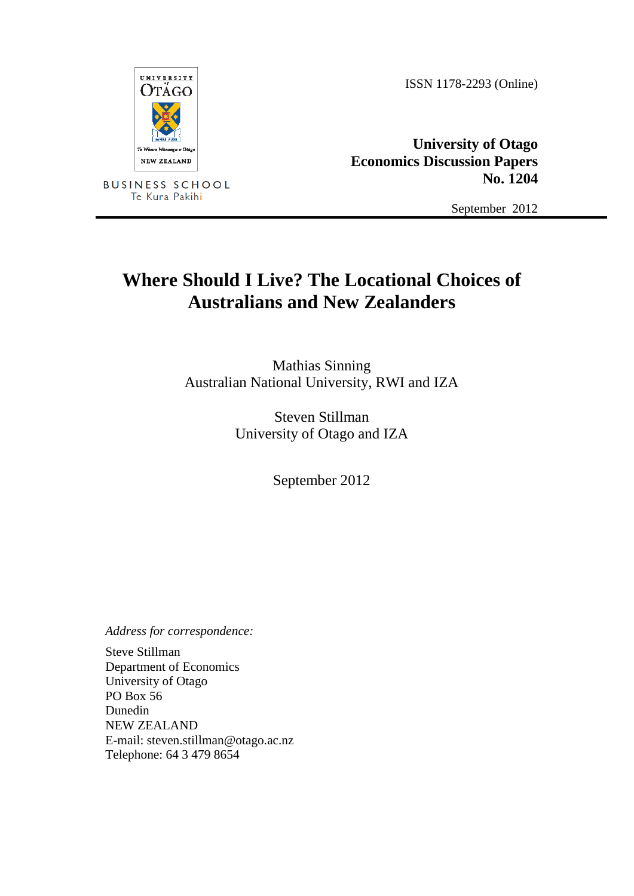ISSN 1178-2293 (Online)



**BUSINESS SCHOOL** Te Kura Pakihi

**University of Otago Economics Discussion Papers No. 1204**

September 2012

# **Where Should I Live? The Locational Choices of Australians and New Zealanders**

Mathias Sinning Australian National University, RWI and IZA

> Steven Stillman University of Otago and IZA

> > September 2012

*Address for correspondence:*

Steve Stillman Department of Economics University of Otago PO Box 56 Dunedin NEW ZEALAND E-mail: steven.stillman@otago.ac.nz Telephone: 64 3 479 8654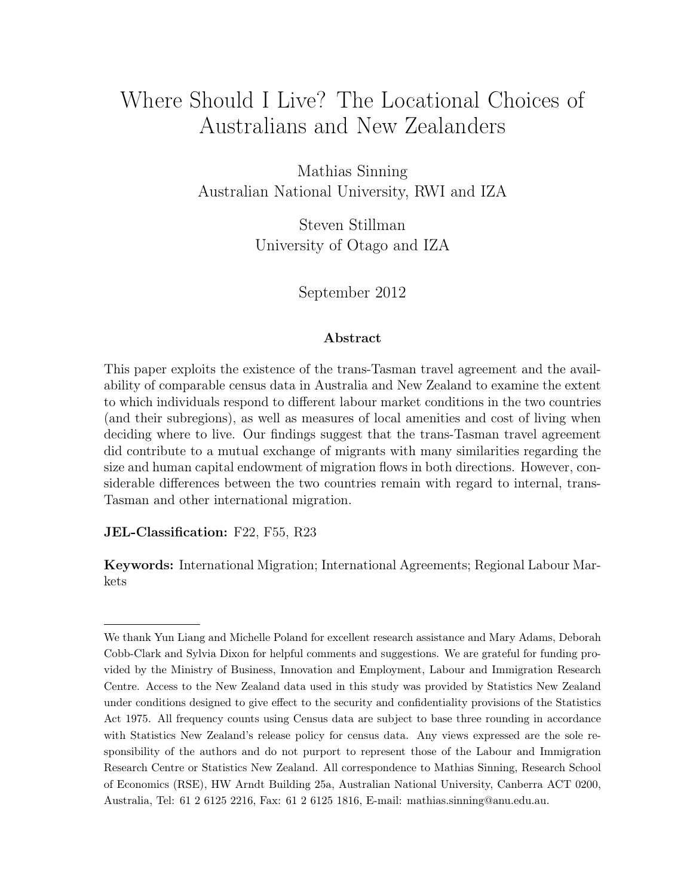# Where Should I Live? The Locational Choices of Australians and New Zealanders

Mathias Sinning Australian National University, RWI and IZA

> Steven Stillman University of Otago and IZA

> > September 2012

#### Abstract

This paper exploits the existence of the trans-Tasman travel agreement and the availability of comparable census data in Australia and New Zealand to examine the extent to which individuals respond to different labour market conditions in the two countries (and their subregions), as well as measures of local amenities and cost of living when deciding where to live. Our findings suggest that the trans-Tasman travel agreement did contribute to a mutual exchange of migrants with many similarities regarding the size and human capital endowment of migration flows in both directions. However, considerable differences between the two countries remain with regard to internal, trans-Tasman and other international migration.

JEL-Classification: F22, F55, R23

Keywords: International Migration; International Agreements; Regional Labour Markets

We thank Yun Liang and Michelle Poland for excellent research assistance and Mary Adams, Deborah Cobb-Clark and Sylvia Dixon for helpful comments and suggestions. We are grateful for funding provided by the Ministry of Business, Innovation and Employment, Labour and Immigration Research Centre. Access to the New Zealand data used in this study was provided by Statistics New Zealand under conditions designed to give effect to the security and confidentiality provisions of the Statistics Act 1975. All frequency counts using Census data are subject to base three rounding in accordance with Statistics New Zealand's release policy for census data. Any views expressed are the sole responsibility of the authors and do not purport to represent those of the Labour and Immigration Research Centre or Statistics New Zealand. All correspondence to Mathias Sinning, Research School of Economics (RSE), HW Arndt Building 25a, Australian National University, Canberra ACT 0200, Australia, Tel: 61 2 6125 2216, Fax: 61 2 6125 1816, E-mail: mathias.sinning@anu.edu.au.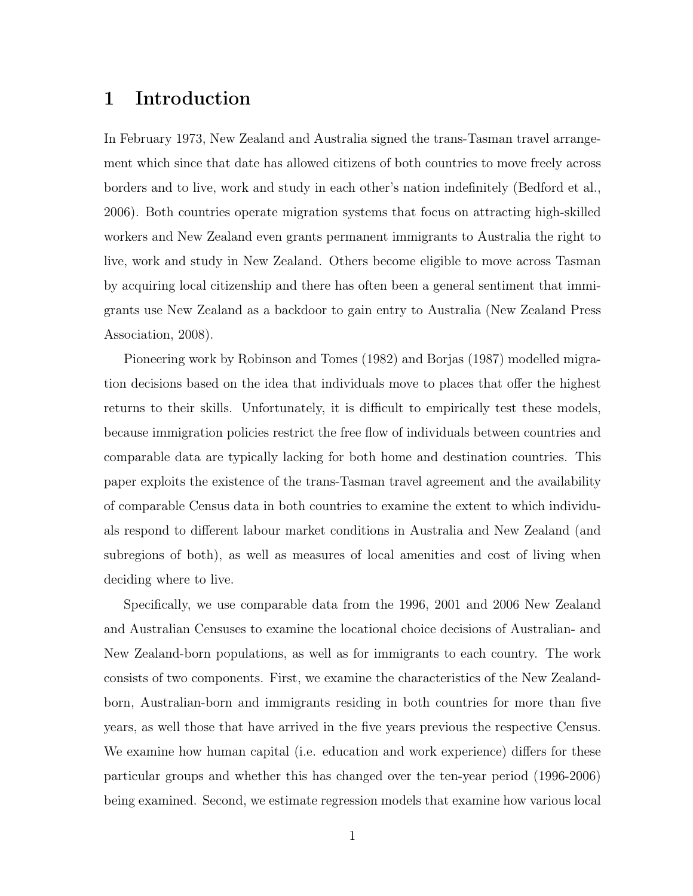### 1 Introduction

In February 1973, New Zealand and Australia signed the trans-Tasman travel arrangement which since that date has allowed citizens of both countries to move freely across borders and to live, work and study in each other's nation indefinitely (Bedford et al., 2006). Both countries operate migration systems that focus on attracting high-skilled workers and New Zealand even grants permanent immigrants to Australia the right to live, work and study in New Zealand. Others become eligible to move across Tasman by acquiring local citizenship and there has often been a general sentiment that immigrants use New Zealand as a backdoor to gain entry to Australia (New Zealand Press Association, 2008).

Pioneering work by Robinson and Tomes (1982) and Borjas (1987) modelled migration decisions based on the idea that individuals move to places that offer the highest returns to their skills. Unfortunately, it is difficult to empirically test these models, because immigration policies restrict the free flow of individuals between countries and comparable data are typically lacking for both home and destination countries. This paper exploits the existence of the trans-Tasman travel agreement and the availability of comparable Census data in both countries to examine the extent to which individuals respond to different labour market conditions in Australia and New Zealand (and subregions of both), as well as measures of local amenities and cost of living when deciding where to live.

Specifically, we use comparable data from the 1996, 2001 and 2006 New Zealand and Australian Censuses to examine the locational choice decisions of Australian- and New Zealand-born populations, as well as for immigrants to each country. The work consists of two components. First, we examine the characteristics of the New Zealandborn, Australian-born and immigrants residing in both countries for more than five years, as well those that have arrived in the five years previous the respective Census. We examine how human capital (i.e. education and work experience) differs for these particular groups and whether this has changed over the ten-year period (1996-2006) being examined. Second, we estimate regression models that examine how various local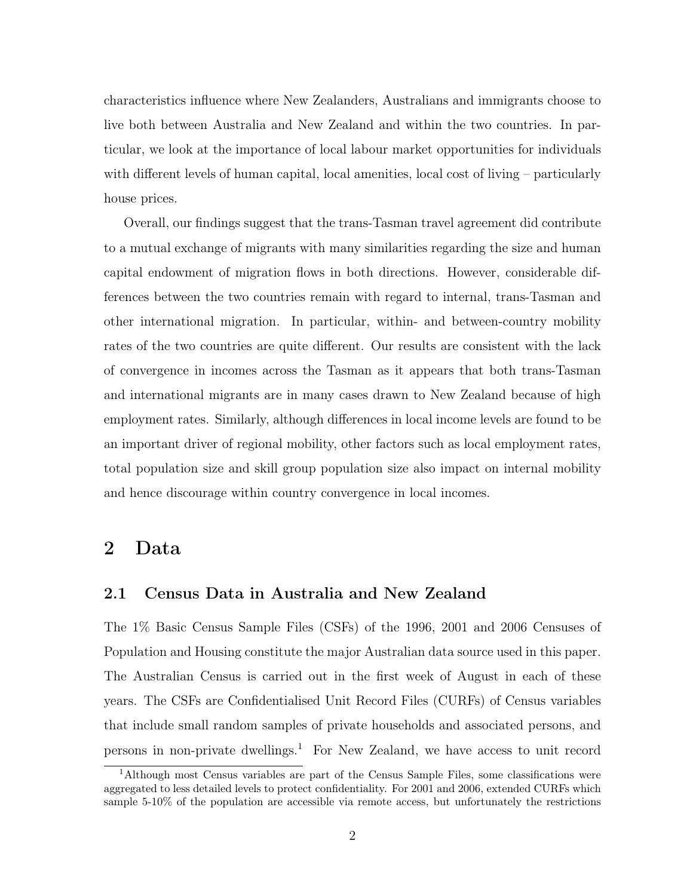characteristics influence where New Zealanders, Australians and immigrants choose to live both between Australia and New Zealand and within the two countries. In particular, we look at the importance of local labour market opportunities for individuals with different levels of human capital, local amenities, local cost of living – particularly house prices.

Overall, our findings suggest that the trans-Tasman travel agreement did contribute to a mutual exchange of migrants with many similarities regarding the size and human capital endowment of migration flows in both directions. However, considerable differences between the two countries remain with regard to internal, trans-Tasman and other international migration. In particular, within- and between-country mobility rates of the two countries are quite different. Our results are consistent with the lack of convergence in incomes across the Tasman as it appears that both trans-Tasman and international migrants are in many cases drawn to New Zealand because of high employment rates. Similarly, although differences in local income levels are found to be an important driver of regional mobility, other factors such as local employment rates, total population size and skill group population size also impact on internal mobility and hence discourage within country convergence in local incomes.

### 2 Data

#### 2.1 Census Data in Australia and New Zealand

The 1% Basic Census Sample Files (CSFs) of the 1996, 2001 and 2006 Censuses of Population and Housing constitute the major Australian data source used in this paper. The Australian Census is carried out in the first week of August in each of these years. The CSFs are Confidentialised Unit Record Files (CURFs) of Census variables that include small random samples of private households and associated persons, and persons in non-private dwellings.<sup>1</sup> For New Zealand, we have access to unit record

<sup>1</sup>Although most Census variables are part of the Census Sample Files, some classifications were aggregated to less detailed levels to protect confidentiality. For 2001 and 2006, extended CURFs which sample 5-10% of the population are accessible via remote access, but unfortunately the restrictions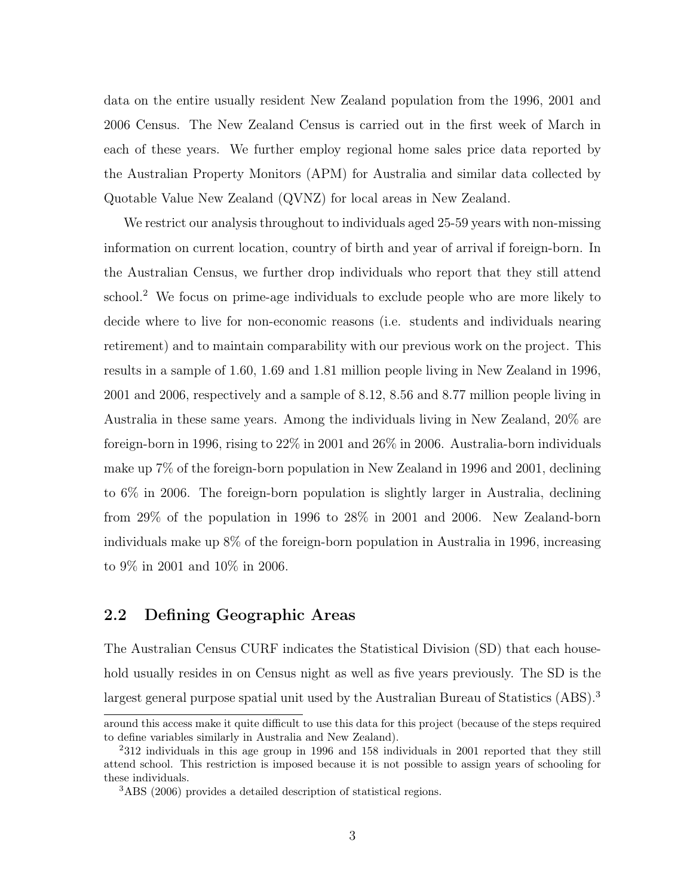data on the entire usually resident New Zealand population from the 1996, 2001 and 2006 Census. The New Zealand Census is carried out in the first week of March in each of these years. We further employ regional home sales price data reported by the Australian Property Monitors (APM) for Australia and similar data collected by Quotable Value New Zealand (QVNZ) for local areas in New Zealand.

We restrict our analysis throughout to individuals aged 25-59 years with non-missing information on current location, country of birth and year of arrival if foreign-born. In the Australian Census, we further drop individuals who report that they still attend school.<sup>2</sup> We focus on prime-age individuals to exclude people who are more likely to decide where to live for non-economic reasons (i.e. students and individuals nearing retirement) and to maintain comparability with our previous work on the project. This results in a sample of 1.60, 1.69 and 1.81 million people living in New Zealand in 1996, 2001 and 2006, respectively and a sample of 8.12, 8.56 and 8.77 million people living in Australia in these same years. Among the individuals living in New Zealand, 20% are foreign-born in 1996, rising to 22% in 2001 and 26% in 2006. Australia-born individuals make up 7% of the foreign-born population in New Zealand in 1996 and 2001, declining to 6% in 2006. The foreign-born population is slightly larger in Australia, declining from 29% of the population in 1996 to 28% in 2001 and 2006. New Zealand-born individuals make up 8% of the foreign-born population in Australia in 1996, increasing to 9% in 2001 and 10% in 2006.

### 2.2 Defining Geographic Areas

The Australian Census CURF indicates the Statistical Division (SD) that each household usually resides in on Census night as well as five years previously. The SD is the largest general purpose spatial unit used by the Australian Bureau of Statistics (ABS).<sup>3</sup>

around this access make it quite difficult to use this data for this project (because of the steps required to define variables similarly in Australia and New Zealand).

<sup>&</sup>lt;sup>2</sup>312 individuals in this age group in 1996 and 158 individuals in 2001 reported that they still attend school. This restriction is imposed because it is not possible to assign years of schooling for these individuals.

<sup>3</sup>ABS (2006) provides a detailed description of statistical regions.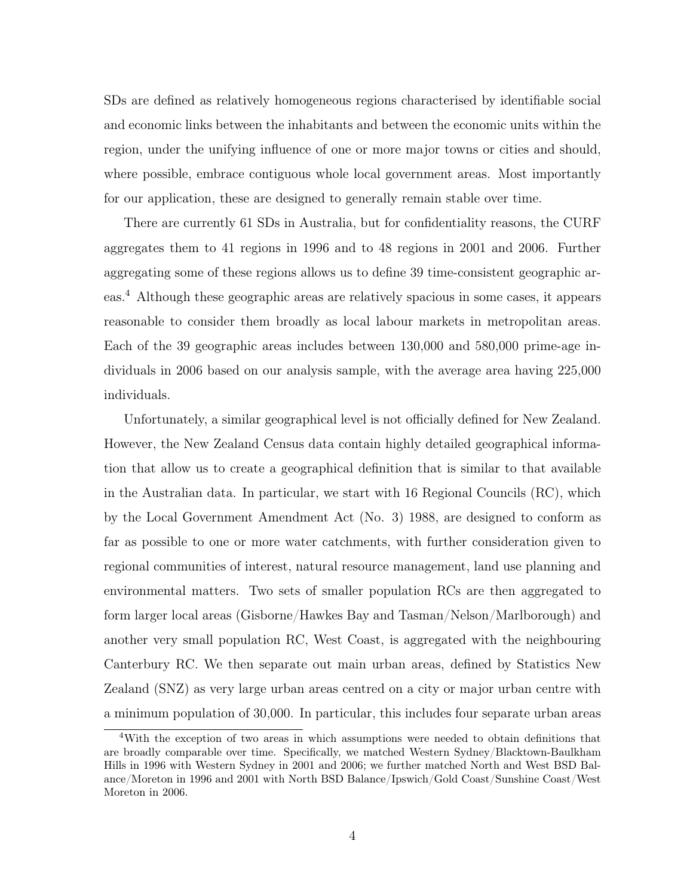SDs are defined as relatively homogeneous regions characterised by identifiable social and economic links between the inhabitants and between the economic units within the region, under the unifying influence of one or more major towns or cities and should, where possible, embrace contiguous whole local government areas. Most importantly for our application, these are designed to generally remain stable over time.

There are currently 61 SDs in Australia, but for confidentiality reasons, the CURF aggregates them to 41 regions in 1996 and to 48 regions in 2001 and 2006. Further aggregating some of these regions allows us to define 39 time-consistent geographic areas.<sup>4</sup> Although these geographic areas are relatively spacious in some cases, it appears reasonable to consider them broadly as local labour markets in metropolitan areas. Each of the 39 geographic areas includes between 130,000 and 580,000 prime-age individuals in 2006 based on our analysis sample, with the average area having 225,000 individuals.

Unfortunately, a similar geographical level is not officially defined for New Zealand. However, the New Zealand Census data contain highly detailed geographical information that allow us to create a geographical definition that is similar to that available in the Australian data. In particular, we start with 16 Regional Councils (RC), which by the Local Government Amendment Act (No. 3) 1988, are designed to conform as far as possible to one or more water catchments, with further consideration given to regional communities of interest, natural resource management, land use planning and environmental matters. Two sets of smaller population RCs are then aggregated to form larger local areas (Gisborne/Hawkes Bay and Tasman/Nelson/Marlborough) and another very small population RC, West Coast, is aggregated with the neighbouring Canterbury RC. We then separate out main urban areas, defined by Statistics New Zealand (SNZ) as very large urban areas centred on a city or major urban centre with a minimum population of 30,000. In particular, this includes four separate urban areas

<sup>4</sup>With the exception of two areas in which assumptions were needed to obtain definitions that are broadly comparable over time. Specifically, we matched Western Sydney/Blacktown-Baulkham Hills in 1996 with Western Sydney in 2001 and 2006; we further matched North and West BSD Balance/Moreton in 1996 and 2001 with North BSD Balance/Ipswich/Gold Coast/Sunshine Coast/West Moreton in 2006.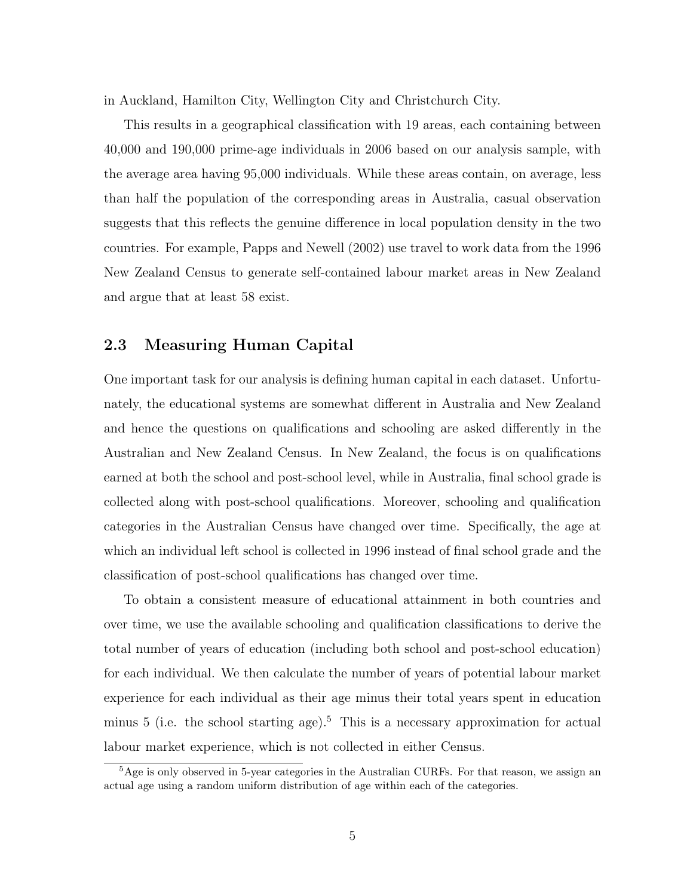in Auckland, Hamilton City, Wellington City and Christchurch City.

This results in a geographical classification with 19 areas, each containing between 40,000 and 190,000 prime-age individuals in 2006 based on our analysis sample, with the average area having 95,000 individuals. While these areas contain, on average, less than half the population of the corresponding areas in Australia, casual observation suggests that this reflects the genuine difference in local population density in the two countries. For example, Papps and Newell (2002) use travel to work data from the 1996 New Zealand Census to generate self-contained labour market areas in New Zealand and argue that at least 58 exist.

#### 2.3 Measuring Human Capital

One important task for our analysis is defining human capital in each dataset. Unfortunately, the educational systems are somewhat different in Australia and New Zealand and hence the questions on qualifications and schooling are asked differently in the Australian and New Zealand Census. In New Zealand, the focus is on qualifications earned at both the school and post-school level, while in Australia, final school grade is collected along with post-school qualifications. Moreover, schooling and qualification categories in the Australian Census have changed over time. Specifically, the age at which an individual left school is collected in 1996 instead of final school grade and the classification of post-school qualifications has changed over time.

To obtain a consistent measure of educational attainment in both countries and over time, we use the available schooling and qualification classifications to derive the total number of years of education (including both school and post-school education) for each individual. We then calculate the number of years of potential labour market experience for each individual as their age minus their total years spent in education minus  $5$  (i.e. the school starting age).<sup>5</sup> This is a necessary approximation for actual labour market experience, which is not collected in either Census.

<sup>&</sup>lt;sup>5</sup>Age is only observed in 5-year categories in the Australian CURFs. For that reason, we assign an actual age using a random uniform distribution of age within each of the categories.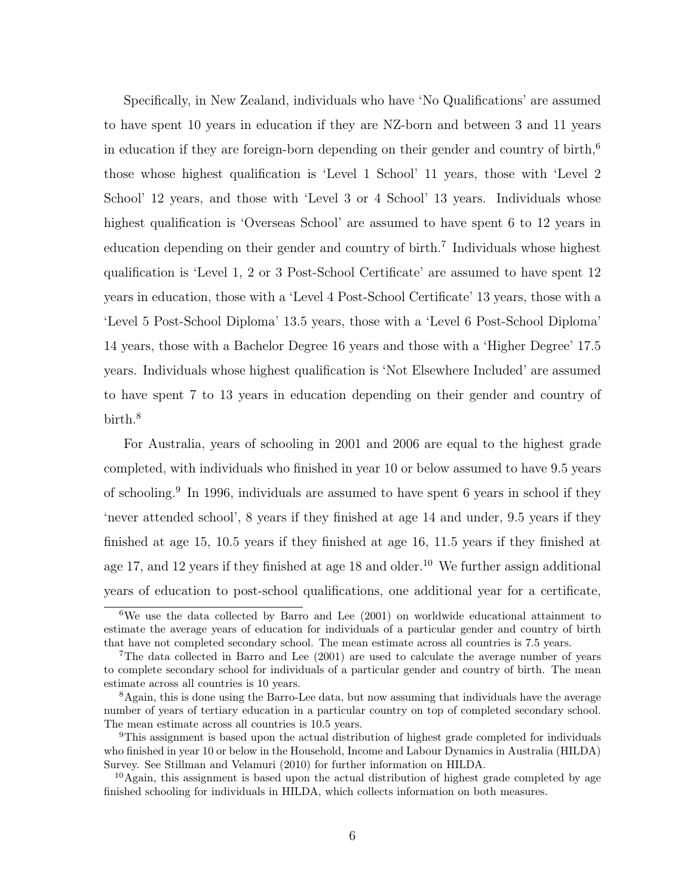Specifically, in New Zealand, individuals who have 'No Qualifications' are assumed to have spent 10 years in education if they are NZ-born and between 3 and 11 years in education if they are foreign-born depending on their gender and country of birth,<sup>6</sup> those whose highest qualification is 'Level 1 School' 11 years, those with 'Level 2 School' 12 years, and those with 'Level 3 or 4 School' 13 years. Individuals whose highest qualification is 'Overseas School' are assumed to have spent 6 to 12 years in education depending on their gender and country of birth.<sup>7</sup> Individuals whose highest qualification is 'Level 1, 2 or 3 Post-School Certificate' are assumed to have spent 12 years in education, those with a 'Level 4 Post-School Certificate' 13 years, those with a 'Level 5 Post-School Diploma' 13.5 years, those with a 'Level 6 Post-School Diploma' 14 years, those with a Bachelor Degree 16 years and those with a 'Higher Degree' 17.5 years. Individuals whose highest qualification is 'Not Elsewhere Included' are assumed to have spent 7 to 13 years in education depending on their gender and country of birth.<sup>8</sup>

For Australia, years of schooling in 2001 and 2006 are equal to the highest grade completed, with individuals who finished in year 10 or below assumed to have 9.5 years of schooling.<sup>9</sup> In 1996, individuals are assumed to have spent 6 years in school if they 'never attended school', 8 years if they finished at age 14 and under, 9.5 years if they finished at age 15, 10.5 years if they finished at age 16, 11.5 years if they finished at age 17, and 12 years if they finished at age  $18$  and older.<sup>10</sup> We further assign additional years of education to post-school qualifications, one additional year for a certificate,

<sup>6</sup>We use the data collected by Barro and Lee (2001) on worldwide educational attainment to estimate the average years of education for individuals of a particular gender and country of birth that have not completed secondary school. The mean estimate across all countries is 7.5 years.

<sup>7</sup>The data collected in Barro and Lee (2001) are used to calculate the average number of years to complete secondary school for individuals of a particular gender and country of birth. The mean estimate across all countries is 10 years.

<sup>8</sup>Again, this is done using the Barro-Lee data, but now assuming that individuals have the average number of years of tertiary education in a particular country on top of completed secondary school. The mean estimate across all countries is 10.5 years.

<sup>9</sup>This assignment is based upon the actual distribution of highest grade completed for individuals who finished in year 10 or below in the Household, Income and Labour Dynamics in Australia (HILDA) Survey. See Stillman and Velamuri (2010) for further information on HILDA.

 $10$ Again, this assignment is based upon the actual distribution of highest grade completed by age finished schooling for individuals in HILDA, which collects information on both measures.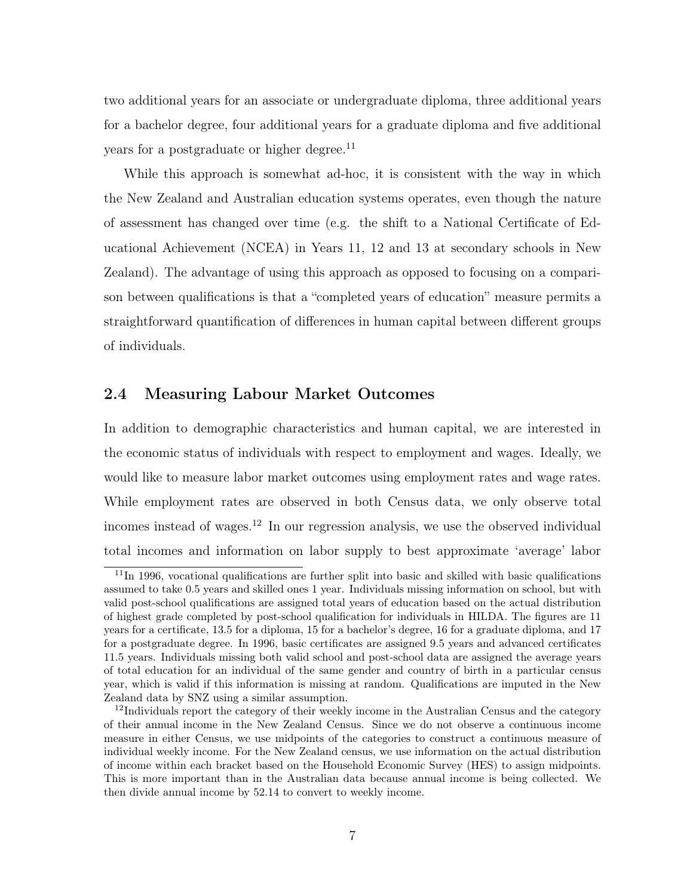two additional years for an associate or undergraduate diploma, three additional years for a bachelor degree, four additional years for a graduate diploma and five additional years for a postgraduate or higher degree.<sup>11</sup>

While this approach is somewhat ad-hoc, it is consistent with the way in which the New Zealand and Australian education systems operates, even though the nature of assessment has changed over time (e.g. the shift to a National Certificate of Educational Achievement (NCEA) in Years 11, 12 and 13 at secondary schools in New Zealand). The advantage of using this approach as opposed to focusing on a comparison between qualifications is that a "completed years of education" measure permits a straightforward quantification of differences in human capital between different groups of individuals.

#### 2.4 Measuring Labour Market Outcomes

In addition to demographic characteristics and human capital, we are interested in the economic status of individuals with respect to employment and wages. Ideally, we would like to measure labor market outcomes using employment rates and wage rates. While employment rates are observed in both Census data, we only observe total incomes instead of wages.<sup>12</sup> In our regression analysis, we use the observed individual total incomes and information on labor supply to best approximate 'average' labor

<sup>11</sup>In 1996, vocational qualifications are further split into basic and skilled with basic qualifications assumed to take 0.5 years and skilled ones 1 year. Individuals missing information on school, but with valid post-school qualifications are assigned total years of education based on the actual distribution of highest grade completed by post-school qualification for individuals in HILDA. The figures are 11 years for a certificate, 13.5 for a diploma, 15 for a bachelor's degree, 16 for a graduate diploma, and 17 for a postgraduate degree. In 1996, basic certificates are assigned 9.5 years and advanced certificates 11.5 years. Individuals missing both valid school and post-school data are assigned the average years of total education for an individual of the same gender and country of birth in a particular census year, which is valid if this information is missing at random. Qualifications are imputed in the New Zealand data by SNZ using a similar assumption.

 $12$ Individuals report the category of their weekly income in the Australian Census and the category of their annual income in the New Zealand Census. Since we do not observe a continuous income measure in either Census, we use midpoints of the categories to construct a continuous measure of individual weekly income. For the New Zealand census, we use information on the actual distribution of income within each bracket based on the Household Economic Survey (HES) to assign midpoints. This is more important than in the Australian data because annual income is being collected. We then divide annual income by 52.14 to convert to weekly income.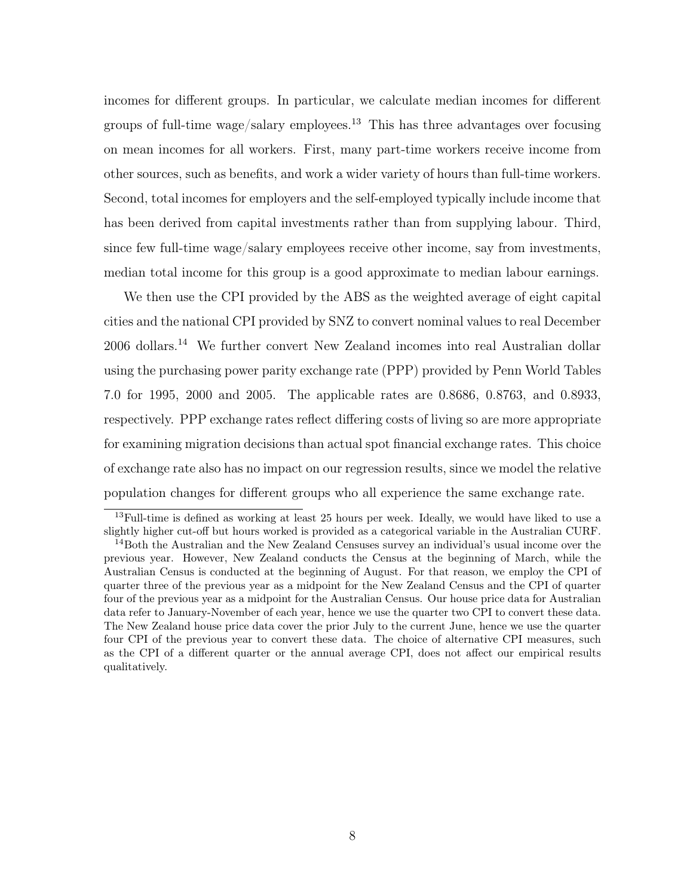incomes for different groups. In particular, we calculate median incomes for different groups of full-time wage/salary employees.<sup>13</sup> This has three advantages over focusing on mean incomes for all workers. First, many part-time workers receive income from other sources, such as benefits, and work a wider variety of hours than full-time workers. Second, total incomes for employers and the self-employed typically include income that has been derived from capital investments rather than from supplying labour. Third, since few full-time wage/salary employees receive other income, say from investments, median total income for this group is a good approximate to median labour earnings.

We then use the CPI provided by the ABS as the weighted average of eight capital cities and the national CPI provided by SNZ to convert nominal values to real December 2006 dollars.<sup>14</sup> We further convert New Zealand incomes into real Australian dollar using the purchasing power parity exchange rate (PPP) provided by Penn World Tables 7.0 for 1995, 2000 and 2005. The applicable rates are 0.8686, 0.8763, and 0.8933, respectively. PPP exchange rates reflect differing costs of living so are more appropriate for examining migration decisions than actual spot financial exchange rates. This choice of exchange rate also has no impact on our regression results, since we model the relative population changes for different groups who all experience the same exchange rate.

<sup>&</sup>lt;sup>13</sup>Full-time is defined as working at least 25 hours per week. Ideally, we would have liked to use a slightly higher cut-off but hours worked is provided as a categorical variable in the Australian CURF.

<sup>&</sup>lt;sup>14</sup>Both the Australian and the New Zealand Censuses survey an individual's usual income over the previous year. However, New Zealand conducts the Census at the beginning of March, while the Australian Census is conducted at the beginning of August. For that reason, we employ the CPI of quarter three of the previous year as a midpoint for the New Zealand Census and the CPI of quarter four of the previous year as a midpoint for the Australian Census. Our house price data for Australian data refer to January-November of each year, hence we use the quarter two CPI to convert these data. The New Zealand house price data cover the prior July to the current June, hence we use the quarter four CPI of the previous year to convert these data. The choice of alternative CPI measures, such as the CPI of a different quarter or the annual average CPI, does not affect our empirical results qualitatively.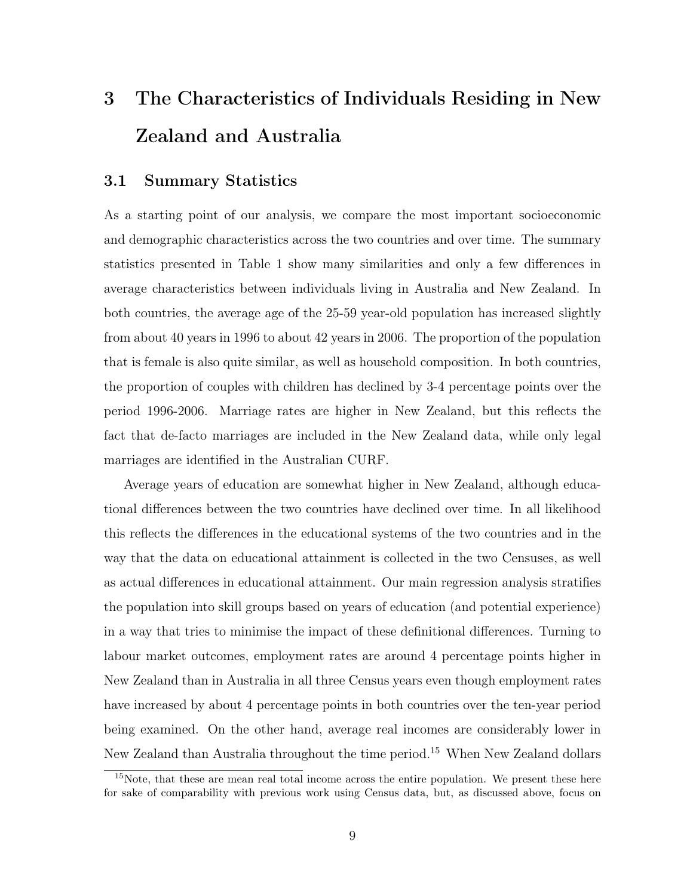# 3 The Characteristics of Individuals Residing in New Zealand and Australia

#### 3.1 Summary Statistics

As a starting point of our analysis, we compare the most important socioeconomic and demographic characteristics across the two countries and over time. The summary statistics presented in Table 1 show many similarities and only a few differences in average characteristics between individuals living in Australia and New Zealand. In both countries, the average age of the 25-59 year-old population has increased slightly from about 40 years in 1996 to about 42 years in 2006. The proportion of the population that is female is also quite similar, as well as household composition. In both countries, the proportion of couples with children has declined by 3-4 percentage points over the period 1996-2006. Marriage rates are higher in New Zealand, but this reflects the fact that de-facto marriages are included in the New Zealand data, while only legal marriages are identified in the Australian CURF.

Average years of education are somewhat higher in New Zealand, although educational differences between the two countries have declined over time. In all likelihood this reflects the differences in the educational systems of the two countries and in the way that the data on educational attainment is collected in the two Censuses, as well as actual differences in educational attainment. Our main regression analysis stratifies the population into skill groups based on years of education (and potential experience) in a way that tries to minimise the impact of these definitional differences. Turning to labour market outcomes, employment rates are around 4 percentage points higher in New Zealand than in Australia in all three Census years even though employment rates have increased by about 4 percentage points in both countries over the ten-year period being examined. On the other hand, average real incomes are considerably lower in New Zealand than Australia throughout the time period.<sup>15</sup> When New Zealand dollars

<sup>&</sup>lt;sup>15</sup>Note, that these are mean real total income across the entire population. We present these here for sake of comparability with previous work using Census data, but, as discussed above, focus on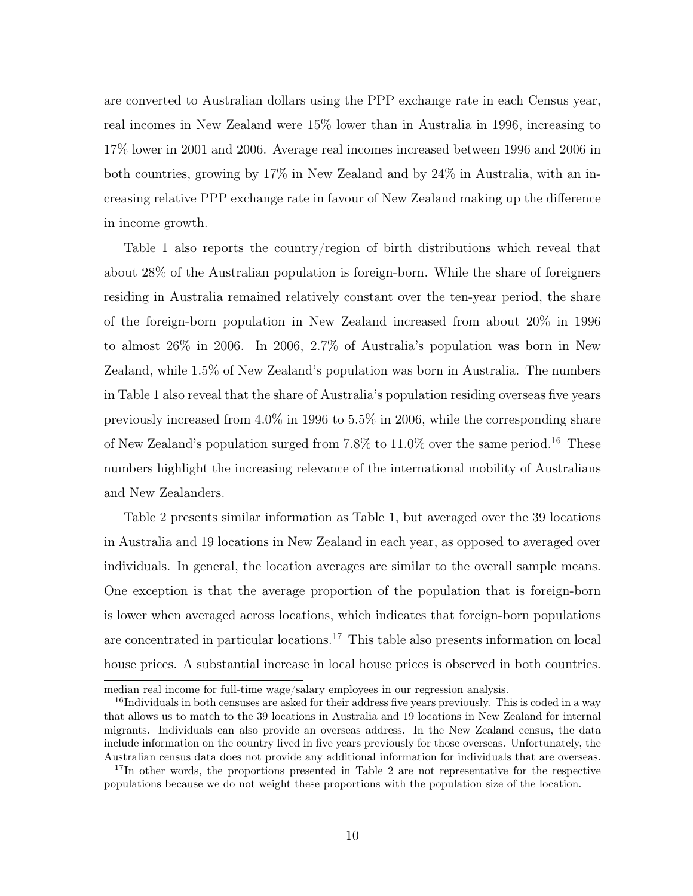are converted to Australian dollars using the PPP exchange rate in each Census year, real incomes in New Zealand were 15% lower than in Australia in 1996, increasing to 17% lower in 2001 and 2006. Average real incomes increased between 1996 and 2006 in both countries, growing by 17% in New Zealand and by 24% in Australia, with an increasing relative PPP exchange rate in favour of New Zealand making up the difference in income growth.

Table 1 also reports the country/region of birth distributions which reveal that about 28% of the Australian population is foreign-born. While the share of foreigners residing in Australia remained relatively constant over the ten-year period, the share of the foreign-born population in New Zealand increased from about 20% in 1996 to almost 26% in 2006. In 2006, 2.7% of Australia's population was born in New Zealand, while 1.5% of New Zealand's population was born in Australia. The numbers in Table 1 also reveal that the share of Australia's population residing overseas five years previously increased from 4.0% in 1996 to 5.5% in 2006, while the corresponding share of New Zealand's population surged from  $7.8\%$  to  $11.0\%$  over the same period.<sup>16</sup> These numbers highlight the increasing relevance of the international mobility of Australians and New Zealanders.

Table 2 presents similar information as Table 1, but averaged over the 39 locations in Australia and 19 locations in New Zealand in each year, as opposed to averaged over individuals. In general, the location averages are similar to the overall sample means. One exception is that the average proportion of the population that is foreign-born is lower when averaged across locations, which indicates that foreign-born populations are concentrated in particular locations.<sup>17</sup> This table also presents information on local house prices. A substantial increase in local house prices is observed in both countries.

median real income for full-time wage/salary employees in our regression analysis.

<sup>&</sup>lt;sup>16</sup>Individuals in both censuses are asked for their address five years previously. This is coded in a way that allows us to match to the 39 locations in Australia and 19 locations in New Zealand for internal migrants. Individuals can also provide an overseas address. In the New Zealand census, the data include information on the country lived in five years previously for those overseas. Unfortunately, the Australian census data does not provide any additional information for individuals that are overseas.

<sup>&</sup>lt;sup>17</sup>In other words, the proportions presented in Table 2 are not representative for the respective populations because we do not weight these proportions with the population size of the location.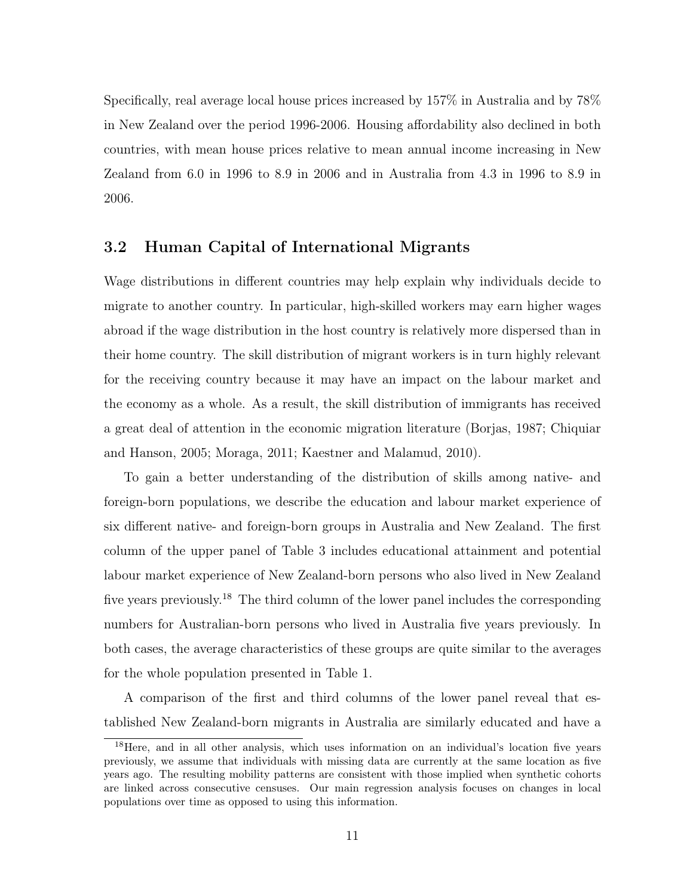Specifically, real average local house prices increased by 157% in Australia and by 78% in New Zealand over the period 1996-2006. Housing affordability also declined in both countries, with mean house prices relative to mean annual income increasing in New Zealand from 6.0 in 1996 to 8.9 in 2006 and in Australia from 4.3 in 1996 to 8.9 in 2006.

#### 3.2 Human Capital of International Migrants

Wage distributions in different countries may help explain why individuals decide to migrate to another country. In particular, high-skilled workers may earn higher wages abroad if the wage distribution in the host country is relatively more dispersed than in their home country. The skill distribution of migrant workers is in turn highly relevant for the receiving country because it may have an impact on the labour market and the economy as a whole. As a result, the skill distribution of immigrants has received a great deal of attention in the economic migration literature (Borjas, 1987; Chiquiar and Hanson, 2005; Moraga, 2011; Kaestner and Malamud, 2010).

To gain a better understanding of the distribution of skills among native- and foreign-born populations, we describe the education and labour market experience of six different native- and foreign-born groups in Australia and New Zealand. The first column of the upper panel of Table 3 includes educational attainment and potential labour market experience of New Zealand-born persons who also lived in New Zealand five years previously.<sup>18</sup> The third column of the lower panel includes the corresponding numbers for Australian-born persons who lived in Australia five years previously. In both cases, the average characteristics of these groups are quite similar to the averages for the whole population presented in Table 1.

A comparison of the first and third columns of the lower panel reveal that established New Zealand-born migrants in Australia are similarly educated and have a

<sup>&</sup>lt;sup>18</sup>Here, and in all other analysis, which uses information on an individual's location five years previously, we assume that individuals with missing data are currently at the same location as five years ago. The resulting mobility patterns are consistent with those implied when synthetic cohorts are linked across consecutive censuses. Our main regression analysis focuses on changes in local populations over time as opposed to using this information.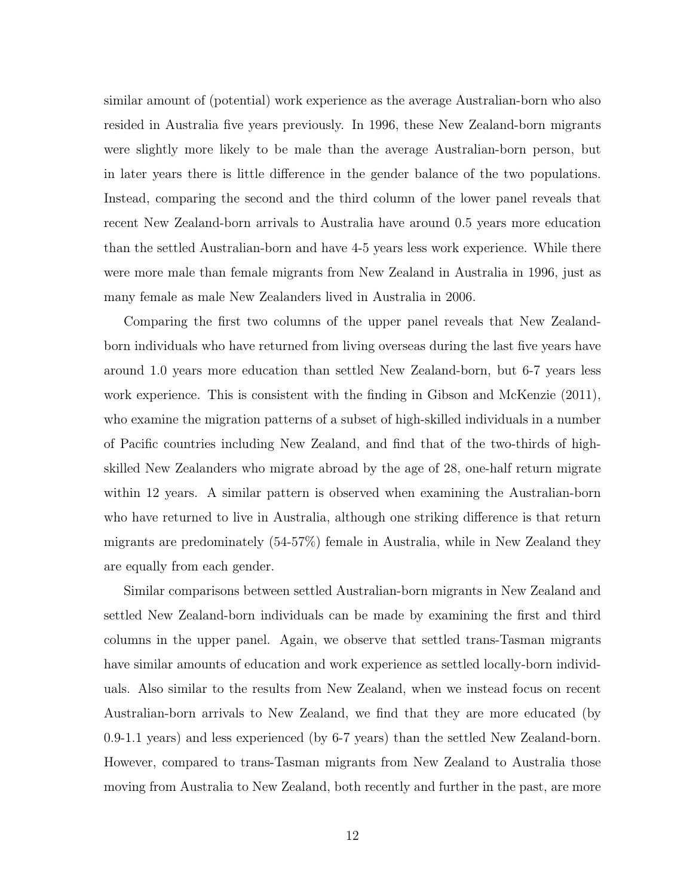similar amount of (potential) work experience as the average Australian-born who also resided in Australia five years previously. In 1996, these New Zealand-born migrants were slightly more likely to be male than the average Australian-born person, but in later years there is little difference in the gender balance of the two populations. Instead, comparing the second and the third column of the lower panel reveals that recent New Zealand-born arrivals to Australia have around 0.5 years more education than the settled Australian-born and have 4-5 years less work experience. While there were more male than female migrants from New Zealand in Australia in 1996, just as many female as male New Zealanders lived in Australia in 2006.

Comparing the first two columns of the upper panel reveals that New Zealandborn individuals who have returned from living overseas during the last five years have around 1.0 years more education than settled New Zealand-born, but 6-7 years less work experience. This is consistent with the finding in Gibson and McKenzie (2011), who examine the migration patterns of a subset of high-skilled individuals in a number of Pacific countries including New Zealand, and find that of the two-thirds of highskilled New Zealanders who migrate abroad by the age of 28, one-half return migrate within 12 years. A similar pattern is observed when examining the Australian-born who have returned to live in Australia, although one striking difference is that return migrants are predominately (54-57%) female in Australia, while in New Zealand they are equally from each gender.

Similar comparisons between settled Australian-born migrants in New Zealand and settled New Zealand-born individuals can be made by examining the first and third columns in the upper panel. Again, we observe that settled trans-Tasman migrants have similar amounts of education and work experience as settled locally-born individuals. Also similar to the results from New Zealand, when we instead focus on recent Australian-born arrivals to New Zealand, we find that they are more educated (by 0.9-1.1 years) and less experienced (by 6-7 years) than the settled New Zealand-born. However, compared to trans-Tasman migrants from New Zealand to Australia those moving from Australia to New Zealand, both recently and further in the past, are more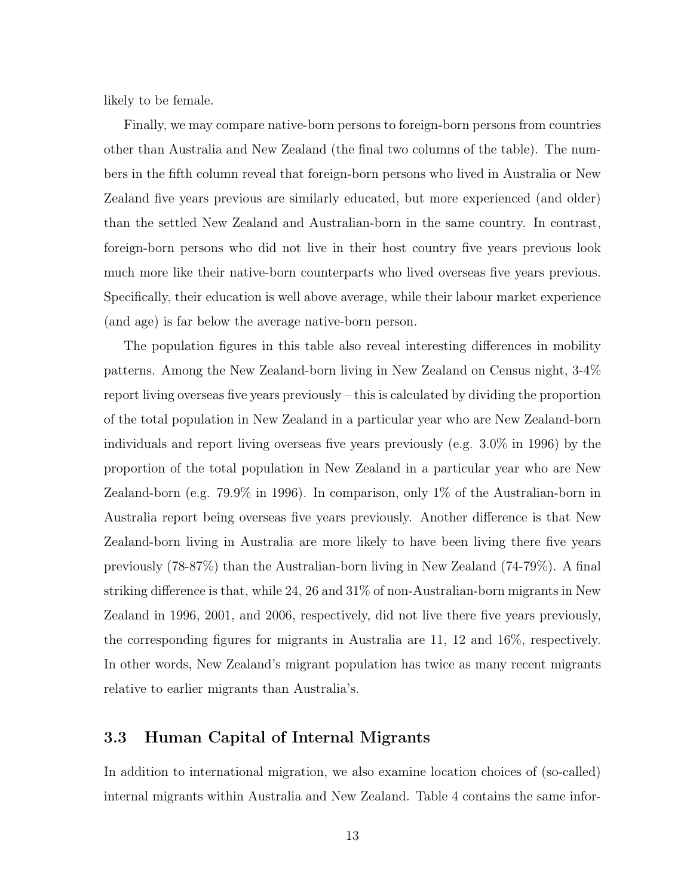likely to be female.

Finally, we may compare native-born persons to foreign-born persons from countries other than Australia and New Zealand (the final two columns of the table). The numbers in the fifth column reveal that foreign-born persons who lived in Australia or New Zealand five years previous are similarly educated, but more experienced (and older) than the settled New Zealand and Australian-born in the same country. In contrast, foreign-born persons who did not live in their host country five years previous look much more like their native-born counterparts who lived overseas five years previous. Specifically, their education is well above average, while their labour market experience (and age) is far below the average native-born person.

The population figures in this table also reveal interesting differences in mobility patterns. Among the New Zealand-born living in New Zealand on Census night, 3-4% report living overseas five years previously – this is calculated by dividing the proportion of the total population in New Zealand in a particular year who are New Zealand-born individuals and report living overseas five years previously (e.g. 3.0% in 1996) by the proportion of the total population in New Zealand in a particular year who are New Zealand-born (e.g. 79.9% in 1996). In comparison, only 1% of the Australian-born in Australia report being overseas five years previously. Another difference is that New Zealand-born living in Australia are more likely to have been living there five years previously (78-87%) than the Australian-born living in New Zealand (74-79%). A final striking difference is that, while 24, 26 and 31% of non-Australian-born migrants in New Zealand in 1996, 2001, and 2006, respectively, did not live there five years previously, the corresponding figures for migrants in Australia are 11, 12 and 16%, respectively. In other words, New Zealand's migrant population has twice as many recent migrants relative to earlier migrants than Australia's.

#### 3.3 Human Capital of Internal Migrants

In addition to international migration, we also examine location choices of (so-called) internal migrants within Australia and New Zealand. Table 4 contains the same infor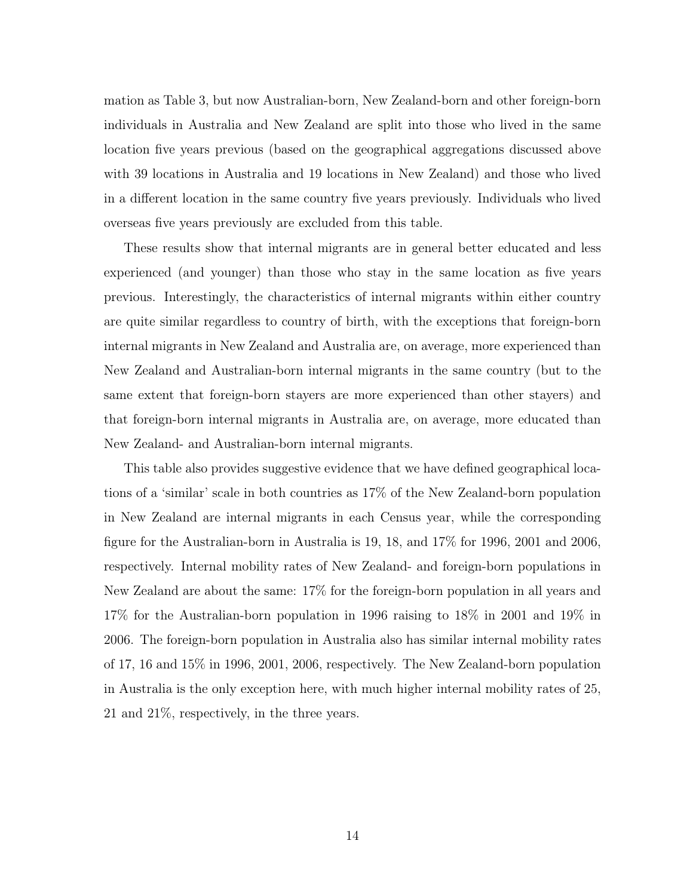mation as Table 3, but now Australian-born, New Zealand-born and other foreign-born individuals in Australia and New Zealand are split into those who lived in the same location five years previous (based on the geographical aggregations discussed above with 39 locations in Australia and 19 locations in New Zealand) and those who lived in a different location in the same country five years previously. Individuals who lived overseas five years previously are excluded from this table.

These results show that internal migrants are in general better educated and less experienced (and younger) than those who stay in the same location as five years previous. Interestingly, the characteristics of internal migrants within either country are quite similar regardless to country of birth, with the exceptions that foreign-born internal migrants in New Zealand and Australia are, on average, more experienced than New Zealand and Australian-born internal migrants in the same country (but to the same extent that foreign-born stayers are more experienced than other stayers) and that foreign-born internal migrants in Australia are, on average, more educated than New Zealand- and Australian-born internal migrants.

This table also provides suggestive evidence that we have defined geographical locations of a 'similar' scale in both countries as 17% of the New Zealand-born population in New Zealand are internal migrants in each Census year, while the corresponding figure for the Australian-born in Australia is 19, 18, and 17% for 1996, 2001 and 2006, respectively. Internal mobility rates of New Zealand- and foreign-born populations in New Zealand are about the same: 17% for the foreign-born population in all years and 17% for the Australian-born population in 1996 raising to 18% in 2001 and 19% in 2006. The foreign-born population in Australia also has similar internal mobility rates of 17, 16 and 15% in 1996, 2001, 2006, respectively. The New Zealand-born population in Australia is the only exception here, with much higher internal mobility rates of 25, 21 and 21%, respectively, in the three years.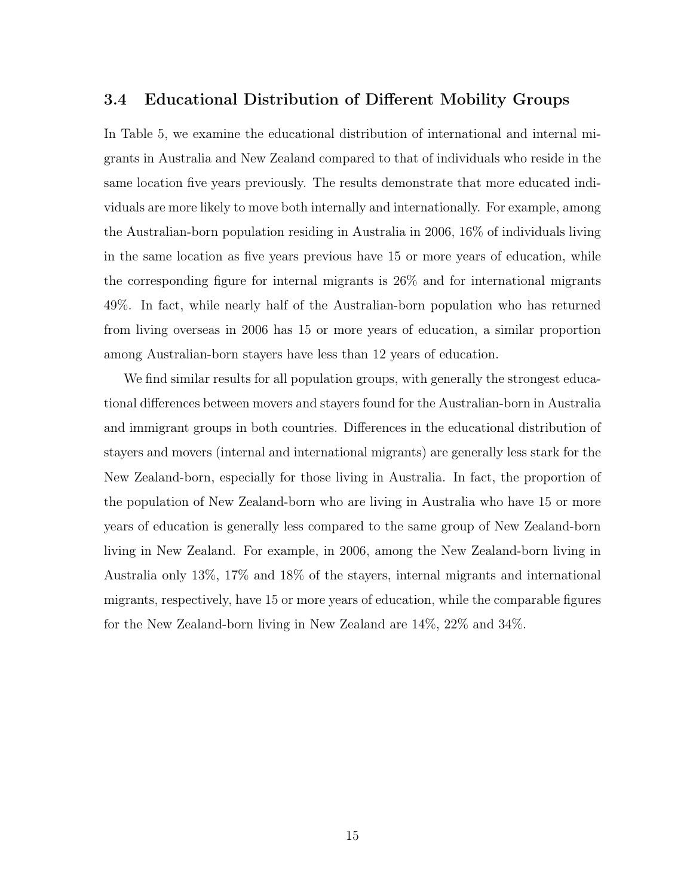#### 3.4 Educational Distribution of Different Mobility Groups

In Table 5, we examine the educational distribution of international and internal migrants in Australia and New Zealand compared to that of individuals who reside in the same location five years previously. The results demonstrate that more educated individuals are more likely to move both internally and internationally. For example, among the Australian-born population residing in Australia in 2006, 16% of individuals living in the same location as five years previous have 15 or more years of education, while the corresponding figure for internal migrants is 26% and for international migrants 49%. In fact, while nearly half of the Australian-born population who has returned from living overseas in 2006 has 15 or more years of education, a similar proportion among Australian-born stayers have less than 12 years of education.

We find similar results for all population groups, with generally the strongest educational differences between movers and stayers found for the Australian-born in Australia and immigrant groups in both countries. Differences in the educational distribution of stayers and movers (internal and international migrants) are generally less stark for the New Zealand-born, especially for those living in Australia. In fact, the proportion of the population of New Zealand-born who are living in Australia who have 15 or more years of education is generally less compared to the same group of New Zealand-born living in New Zealand. For example, in 2006, among the New Zealand-born living in Australia only 13%, 17% and 18% of the stayers, internal migrants and international migrants, respectively, have 15 or more years of education, while the comparable figures for the New Zealand-born living in New Zealand are 14%, 22% and 34%.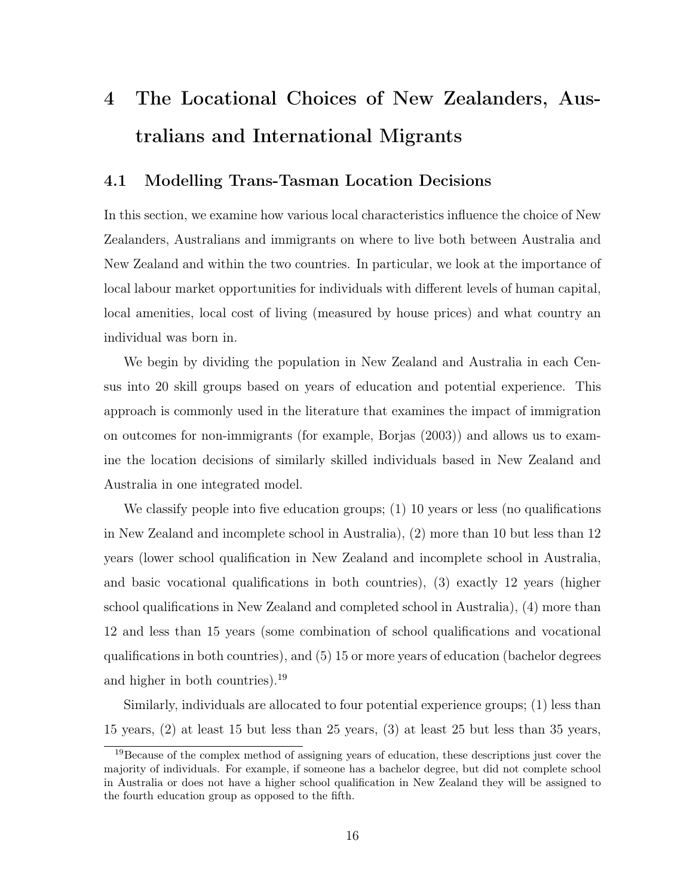# 4 The Locational Choices of New Zealanders, Australians and International Migrants

#### 4.1 Modelling Trans-Tasman Location Decisions

In this section, we examine how various local characteristics influence the choice of New Zealanders, Australians and immigrants on where to live both between Australia and New Zealand and within the two countries. In particular, we look at the importance of local labour market opportunities for individuals with different levels of human capital, local amenities, local cost of living (measured by house prices) and what country an individual was born in.

We begin by dividing the population in New Zealand and Australia in each Census into 20 skill groups based on years of education and potential experience. This approach is commonly used in the literature that examines the impact of immigration on outcomes for non-immigrants (for example, Borjas (2003)) and allows us to examine the location decisions of similarly skilled individuals based in New Zealand and Australia in one integrated model.

We classify people into five education groups; (1) 10 years or less (no qualifications in New Zealand and incomplete school in Australia), (2) more than 10 but less than 12 years (lower school qualification in New Zealand and incomplete school in Australia, and basic vocational qualifications in both countries), (3) exactly 12 years (higher school qualifications in New Zealand and completed school in Australia), (4) more than 12 and less than 15 years (some combination of school qualifications and vocational qualifications in both countries), and (5) 15 or more years of education (bachelor degrees and higher in both countries).<sup>19</sup>

Similarly, individuals are allocated to four potential experience groups; (1) less than 15 years, (2) at least 15 but less than 25 years, (3) at least 25 but less than 35 years,

<sup>19</sup>Because of the complex method of assigning years of education, these descriptions just cover the majority of individuals. For example, if someone has a bachelor degree, but did not complete school in Australia or does not have a higher school qualification in New Zealand they will be assigned to the fourth education group as opposed to the fifth.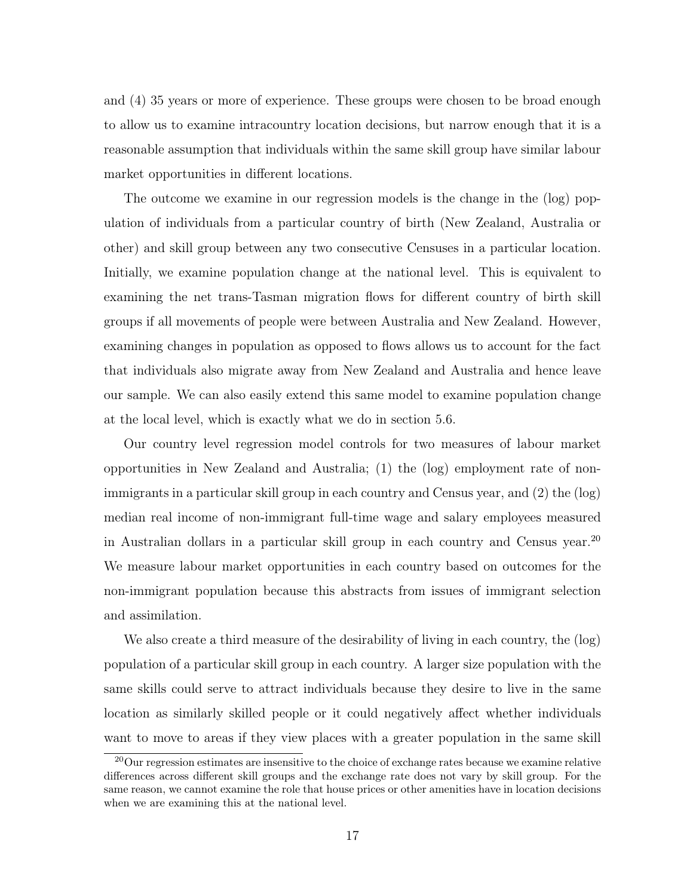and (4) 35 years or more of experience. These groups were chosen to be broad enough to allow us to examine intracountry location decisions, but narrow enough that it is a reasonable assumption that individuals within the same skill group have similar labour market opportunities in different locations.

The outcome we examine in our regression models is the change in the (log) population of individuals from a particular country of birth (New Zealand, Australia or other) and skill group between any two consecutive Censuses in a particular location. Initially, we examine population change at the national level. This is equivalent to examining the net trans-Tasman migration flows for different country of birth skill groups if all movements of people were between Australia and New Zealand. However, examining changes in population as opposed to flows allows us to account for the fact that individuals also migrate away from New Zealand and Australia and hence leave our sample. We can also easily extend this same model to examine population change at the local level, which is exactly what we do in section 5.6.

Our country level regression model controls for two measures of labour market opportunities in New Zealand and Australia; (1) the (log) employment rate of nonimmigrants in a particular skill group in each country and Census year, and (2) the (log) median real income of non-immigrant full-time wage and salary employees measured in Australian dollars in a particular skill group in each country and Census year.<sup>20</sup> We measure labour market opportunities in each country based on outcomes for the non-immigrant population because this abstracts from issues of immigrant selection and assimilation.

We also create a third measure of the desirability of living in each country, the (log) population of a particular skill group in each country. A larger size population with the same skills could serve to attract individuals because they desire to live in the same location as similarly skilled people or it could negatively affect whether individuals want to move to areas if they view places with a greater population in the same skill

<sup>&</sup>lt;sup>20</sup>Our regression estimates are insensitive to the choice of exchange rates because we examine relative differences across different skill groups and the exchange rate does not vary by skill group. For the same reason, we cannot examine the role that house prices or other amenities have in location decisions when we are examining this at the national level.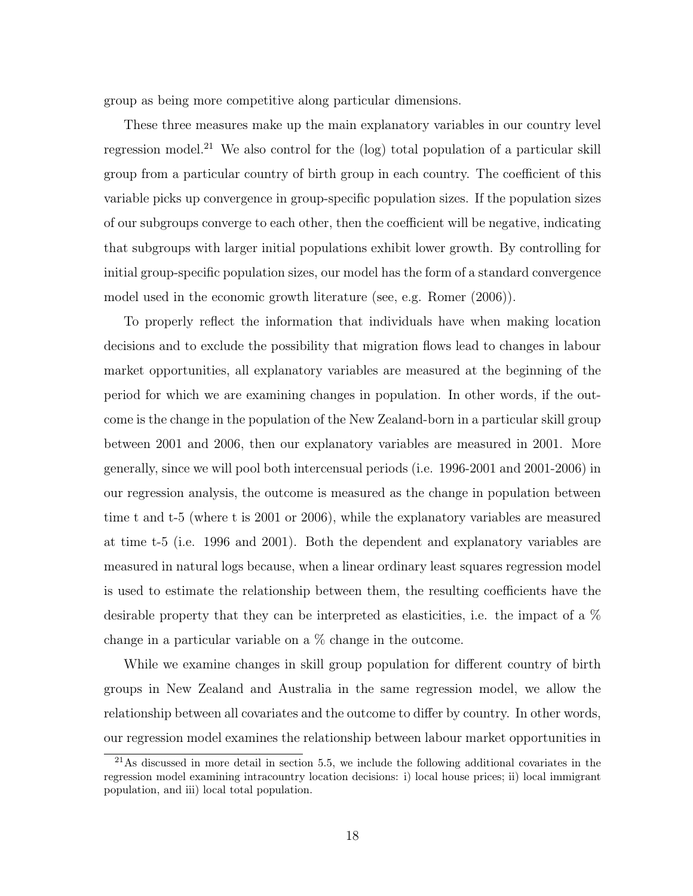group as being more competitive along particular dimensions.

These three measures make up the main explanatory variables in our country level regression model.<sup>21</sup> We also control for the  $(log)$  total population of a particular skill group from a particular country of birth group in each country. The coefficient of this variable picks up convergence in group-specific population sizes. If the population sizes of our subgroups converge to each other, then the coefficient will be negative, indicating that subgroups with larger initial populations exhibit lower growth. By controlling for initial group-specific population sizes, our model has the form of a standard convergence model used in the economic growth literature (see, e.g. Romer (2006)).

To properly reflect the information that individuals have when making location decisions and to exclude the possibility that migration flows lead to changes in labour market opportunities, all explanatory variables are measured at the beginning of the period for which we are examining changes in population. In other words, if the outcome is the change in the population of the New Zealand-born in a particular skill group between 2001 and 2006, then our explanatory variables are measured in 2001. More generally, since we will pool both intercensual periods (i.e. 1996-2001 and 2001-2006) in our regression analysis, the outcome is measured as the change in population between time t and t-5 (where t is 2001 or 2006), while the explanatory variables are measured at time t-5 (i.e. 1996 and 2001). Both the dependent and explanatory variables are measured in natural logs because, when a linear ordinary least squares regression model is used to estimate the relationship between them, the resulting coefficients have the desirable property that they can be interpreted as elasticities, i.e. the impact of a % change in a particular variable on a % change in the outcome.

While we examine changes in skill group population for different country of birth groups in New Zealand and Australia in the same regression model, we allow the relationship between all covariates and the outcome to differ by country. In other words, our regression model examines the relationship between labour market opportunities in

 $^{21}$ As discussed in more detail in section 5.5, we include the following additional covariates in the regression model examining intracountry location decisions: i) local house prices; ii) local immigrant population, and iii) local total population.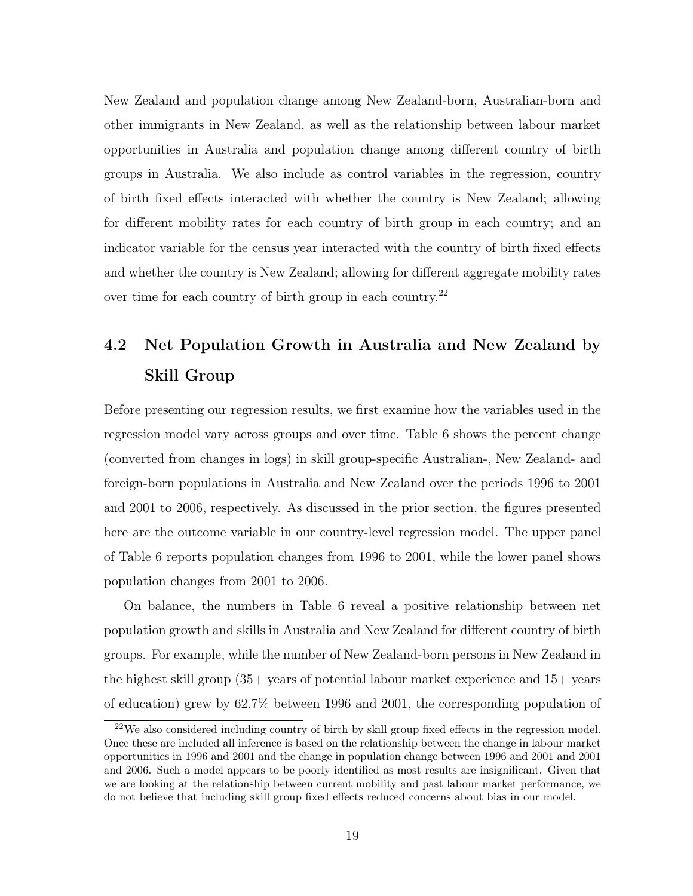New Zealand and population change among New Zealand-born, Australian-born and other immigrants in New Zealand, as well as the relationship between labour market opportunities in Australia and population change among different country of birth groups in Australia. We also include as control variables in the regression, country of birth fixed effects interacted with whether the country is New Zealand; allowing for different mobility rates for each country of birth group in each country; and an indicator variable for the census year interacted with the country of birth fixed effects and whether the country is New Zealand; allowing for different aggregate mobility rates over time for each country of birth group in each country.<sup>22</sup>

# 4.2 Net Population Growth in Australia and New Zealand by Skill Group

Before presenting our regression results, we first examine how the variables used in the regression model vary across groups and over time. Table 6 shows the percent change (converted from changes in logs) in skill group-specific Australian-, New Zealand- and foreign-born populations in Australia and New Zealand over the periods 1996 to 2001 and 2001 to 2006, respectively. As discussed in the prior section, the figures presented here are the outcome variable in our country-level regression model. The upper panel of Table 6 reports population changes from 1996 to 2001, while the lower panel shows population changes from 2001 to 2006.

On balance, the numbers in Table 6 reveal a positive relationship between net population growth and skills in Australia and New Zealand for different country of birth groups. For example, while the number of New Zealand-born persons in New Zealand in the highest skill group  $(35)$  years of potential labour market experience and  $15$  years of education) grew by 62.7% between 1996 and 2001, the corresponding population of

 $22$ We also considered including country of birth by skill group fixed effects in the regression model. Once these are included all inference is based on the relationship between the change in labour market opportunities in 1996 and 2001 and the change in population change between 1996 and 2001 and 2001 and 2006. Such a model appears to be poorly identified as most results are insignificant. Given that we are looking at the relationship between current mobility and past labour market performance, we do not believe that including skill group fixed effects reduced concerns about bias in our model.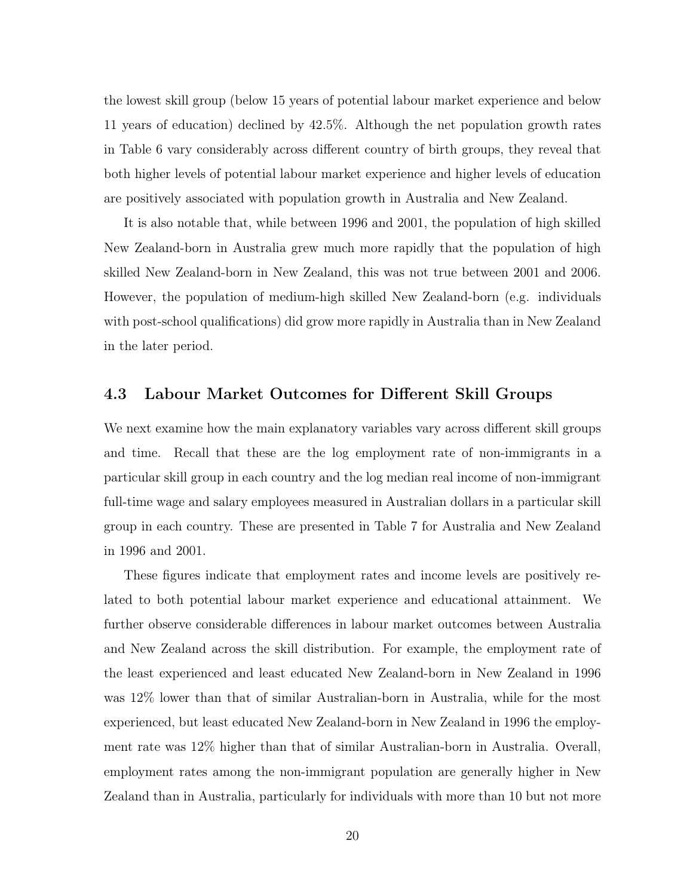the lowest skill group (below 15 years of potential labour market experience and below 11 years of education) declined by 42.5%. Although the net population growth rates in Table 6 vary considerably across different country of birth groups, they reveal that both higher levels of potential labour market experience and higher levels of education are positively associated with population growth in Australia and New Zealand.

It is also notable that, while between 1996 and 2001, the population of high skilled New Zealand-born in Australia grew much more rapidly that the population of high skilled New Zealand-born in New Zealand, this was not true between 2001 and 2006. However, the population of medium-high skilled New Zealand-born (e.g. individuals with post-school qualifications) did grow more rapidly in Australia than in New Zealand in the later period.

#### 4.3 Labour Market Outcomes for Different Skill Groups

We next examine how the main explanatory variables vary across different skill groups and time. Recall that these are the log employment rate of non-immigrants in a particular skill group in each country and the log median real income of non-immigrant full-time wage and salary employees measured in Australian dollars in a particular skill group in each country. These are presented in Table 7 for Australia and New Zealand in 1996 and 2001.

These figures indicate that employment rates and income levels are positively related to both potential labour market experience and educational attainment. We further observe considerable differences in labour market outcomes between Australia and New Zealand across the skill distribution. For example, the employment rate of the least experienced and least educated New Zealand-born in New Zealand in 1996 was 12% lower than that of similar Australian-born in Australia, while for the most experienced, but least educated New Zealand-born in New Zealand in 1996 the employment rate was 12% higher than that of similar Australian-born in Australia. Overall, employment rates among the non-immigrant population are generally higher in New Zealand than in Australia, particularly for individuals with more than 10 but not more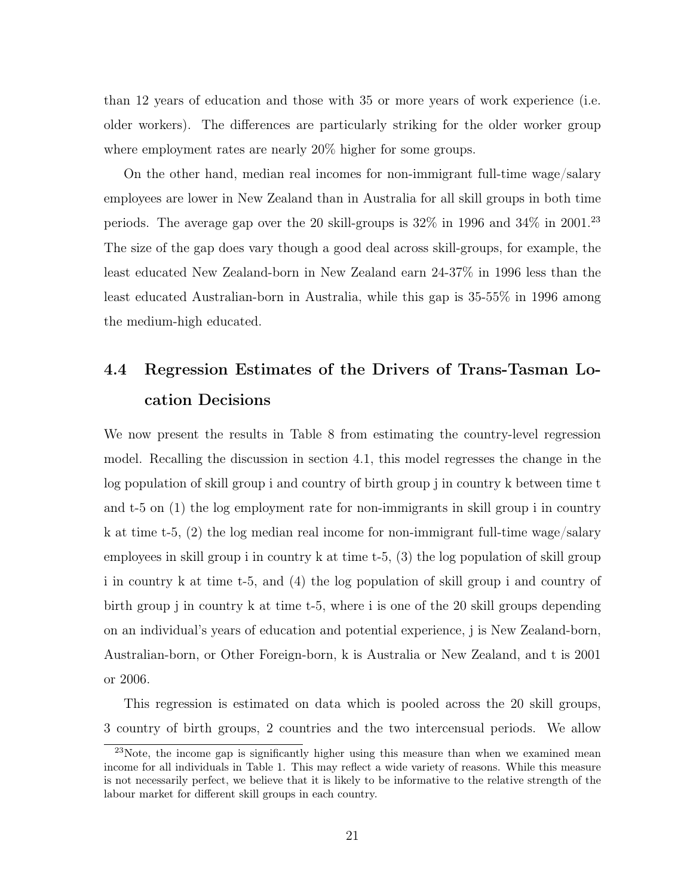than 12 years of education and those with 35 or more years of work experience (i.e. older workers). The differences are particularly striking for the older worker group where employment rates are nearly 20% higher for some groups.

On the other hand, median real incomes for non-immigrant full-time wage/salary employees are lower in New Zealand than in Australia for all skill groups in both time periods. The average gap over the 20 skill-groups is  $32\%$  in 1996 and  $34\%$  in 2001.<sup>23</sup> The size of the gap does vary though a good deal across skill-groups, for example, the least educated New Zealand-born in New Zealand earn 24-37% in 1996 less than the least educated Australian-born in Australia, while this gap is 35-55% in 1996 among the medium-high educated.

# 4.4 Regression Estimates of the Drivers of Trans-Tasman Location Decisions

We now present the results in Table 8 from estimating the country-level regression model. Recalling the discussion in section 4.1, this model regresses the change in the log population of skill group i and country of birth group j in country k between time t and t-5 on (1) the log employment rate for non-immigrants in skill group i in country k at time t-5, (2) the log median real income for non-immigrant full-time wage/salary employees in skill group i in country k at time t-5, (3) the log population of skill group i in country k at time t-5, and (4) the log population of skill group i and country of birth group j in country k at time t-5, where i is one of the 20 skill groups depending on an individual's years of education and potential experience, j is New Zealand-born, Australian-born, or Other Foreign-born, k is Australia or New Zealand, and t is 2001 or 2006.

This regression is estimated on data which is pooled across the 20 skill groups, 3 country of birth groups, 2 countries and the two intercensual periods. We allow

<sup>&</sup>lt;sup>23</sup>Note, the income gap is significantly higher using this measure than when we examined mean income for all individuals in Table 1. This may reflect a wide variety of reasons. While this measure is not necessarily perfect, we believe that it is likely to be informative to the relative strength of the labour market for different skill groups in each country.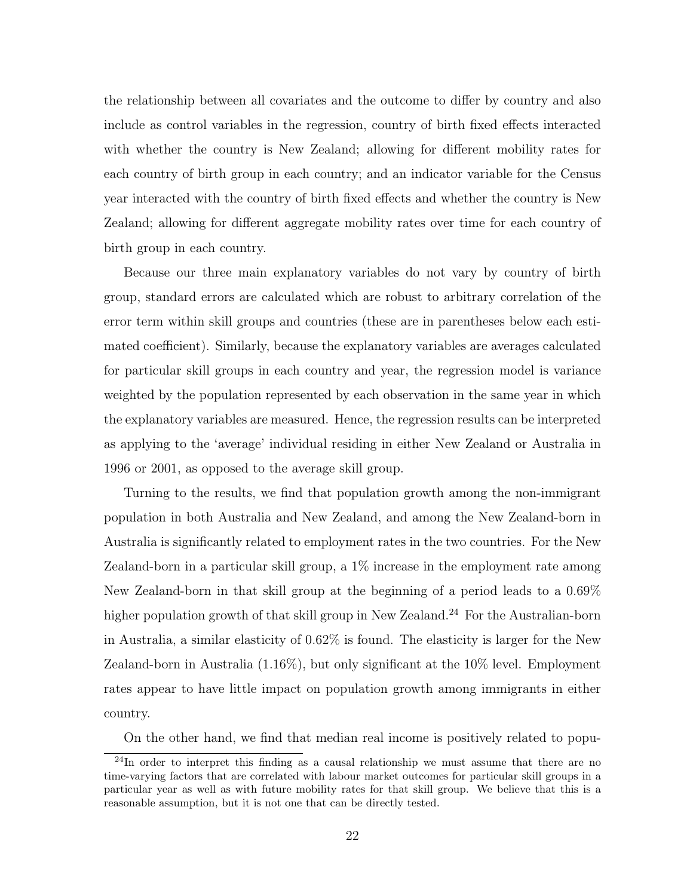the relationship between all covariates and the outcome to differ by country and also include as control variables in the regression, country of birth fixed effects interacted with whether the country is New Zealand; allowing for different mobility rates for each country of birth group in each country; and an indicator variable for the Census year interacted with the country of birth fixed effects and whether the country is New Zealand; allowing for different aggregate mobility rates over time for each country of birth group in each country.

Because our three main explanatory variables do not vary by country of birth group, standard errors are calculated which are robust to arbitrary correlation of the error term within skill groups and countries (these are in parentheses below each estimated coefficient). Similarly, because the explanatory variables are averages calculated for particular skill groups in each country and year, the regression model is variance weighted by the population represented by each observation in the same year in which the explanatory variables are measured. Hence, the regression results can be interpreted as applying to the 'average' individual residing in either New Zealand or Australia in 1996 or 2001, as opposed to the average skill group.

Turning to the results, we find that population growth among the non-immigrant population in both Australia and New Zealand, and among the New Zealand-born in Australia is significantly related to employment rates in the two countries. For the New Zealand-born in a particular skill group, a 1% increase in the employment rate among New Zealand-born in that skill group at the beginning of a period leads to a 0.69% higher population growth of that skill group in New Zealand.<sup>24</sup> For the Australian-born in Australia, a similar elasticity of 0.62% is found. The elasticity is larger for the New Zealand-born in Australia (1.16%), but only significant at the 10% level. Employment rates appear to have little impact on population growth among immigrants in either country.

On the other hand, we find that median real income is positively related to popu-

 $^{24}$ In order to interpret this finding as a causal relationship we must assume that there are no time-varying factors that are correlated with labour market outcomes for particular skill groups in a particular year as well as with future mobility rates for that skill group. We believe that this is a reasonable assumption, but it is not one that can be directly tested.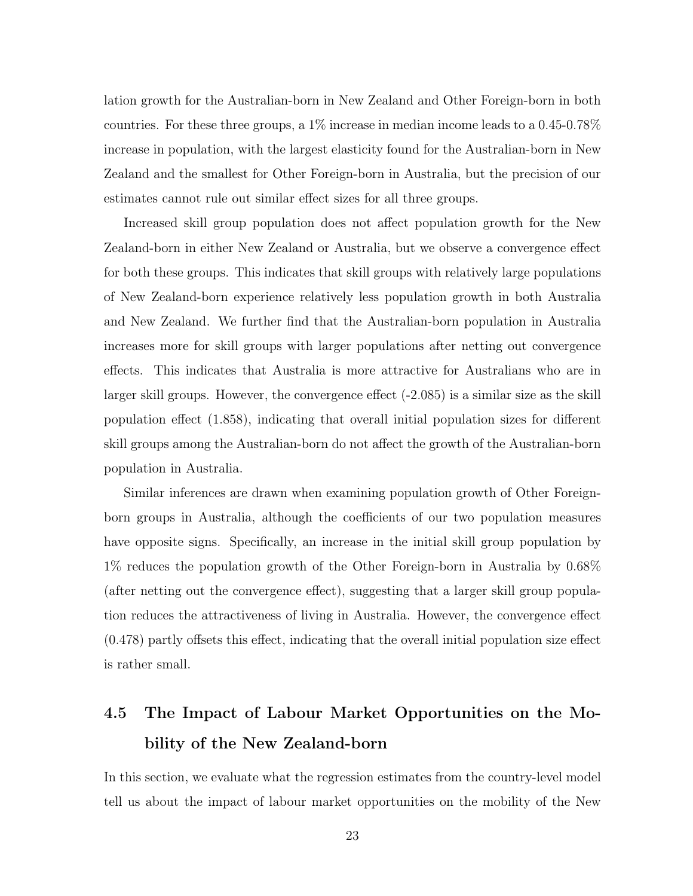lation growth for the Australian-born in New Zealand and Other Foreign-born in both countries. For these three groups, a  $1\%$  increase in median income leads to a 0.45-0.78% increase in population, with the largest elasticity found for the Australian-born in New Zealand and the smallest for Other Foreign-born in Australia, but the precision of our estimates cannot rule out similar effect sizes for all three groups.

Increased skill group population does not affect population growth for the New Zealand-born in either New Zealand or Australia, but we observe a convergence effect for both these groups. This indicates that skill groups with relatively large populations of New Zealand-born experience relatively less population growth in both Australia and New Zealand. We further find that the Australian-born population in Australia increases more for skill groups with larger populations after netting out convergence effects. This indicates that Australia is more attractive for Australians who are in larger skill groups. However, the convergence effect (-2.085) is a similar size as the skill population effect (1.858), indicating that overall initial population sizes for different skill groups among the Australian-born do not affect the growth of the Australian-born population in Australia.

Similar inferences are drawn when examining population growth of Other Foreignborn groups in Australia, although the coefficients of our two population measures have opposite signs. Specifically, an increase in the initial skill group population by 1% reduces the population growth of the Other Foreign-born in Australia by 0.68% (after netting out the convergence effect), suggesting that a larger skill group population reduces the attractiveness of living in Australia. However, the convergence effect (0.478) partly offsets this effect, indicating that the overall initial population size effect is rather small.

# 4.5 The Impact of Labour Market Opportunities on the Mobility of the New Zealand-born

In this section, we evaluate what the regression estimates from the country-level model tell us about the impact of labour market opportunities on the mobility of the New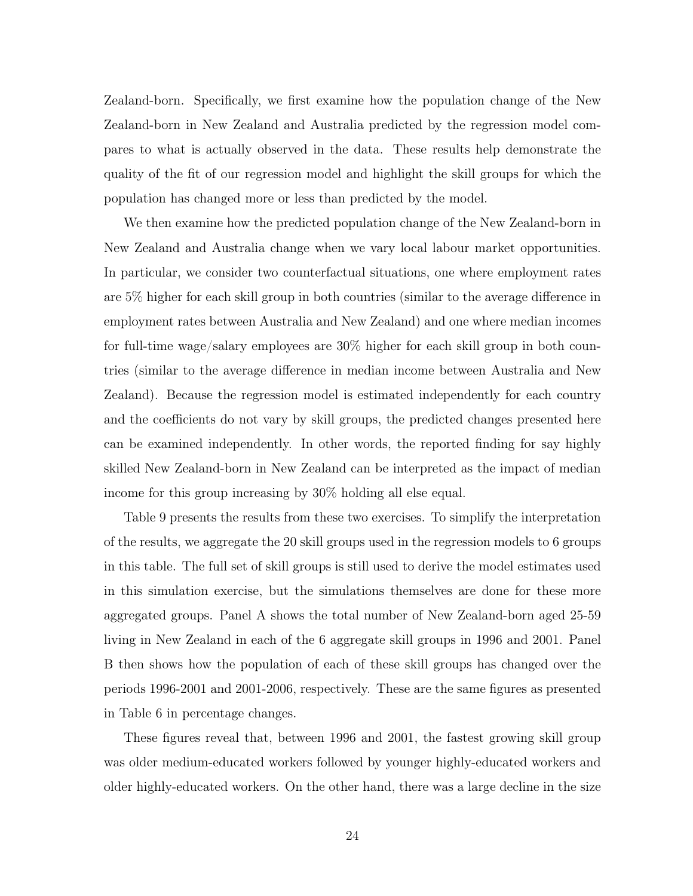Zealand-born. Specifically, we first examine how the population change of the New Zealand-born in New Zealand and Australia predicted by the regression model compares to what is actually observed in the data. These results help demonstrate the quality of the fit of our regression model and highlight the skill groups for which the population has changed more or less than predicted by the model.

We then examine how the predicted population change of the New Zealand-born in New Zealand and Australia change when we vary local labour market opportunities. In particular, we consider two counterfactual situations, one where employment rates are 5% higher for each skill group in both countries (similar to the average difference in employment rates between Australia and New Zealand) and one where median incomes for full-time wage/salary employees are 30% higher for each skill group in both countries (similar to the average difference in median income between Australia and New Zealand). Because the regression model is estimated independently for each country and the coefficients do not vary by skill groups, the predicted changes presented here can be examined independently. In other words, the reported finding for say highly skilled New Zealand-born in New Zealand can be interpreted as the impact of median income for this group increasing by 30% holding all else equal.

Table 9 presents the results from these two exercises. To simplify the interpretation of the results, we aggregate the 20 skill groups used in the regression models to 6 groups in this table. The full set of skill groups is still used to derive the model estimates used in this simulation exercise, but the simulations themselves are done for these more aggregated groups. Panel A shows the total number of New Zealand-born aged 25-59 living in New Zealand in each of the 6 aggregate skill groups in 1996 and 2001. Panel B then shows how the population of each of these skill groups has changed over the periods 1996-2001 and 2001-2006, respectively. These are the same figures as presented in Table 6 in percentage changes.

These figures reveal that, between 1996 and 2001, the fastest growing skill group was older medium-educated workers followed by younger highly-educated workers and older highly-educated workers. On the other hand, there was a large decline in the size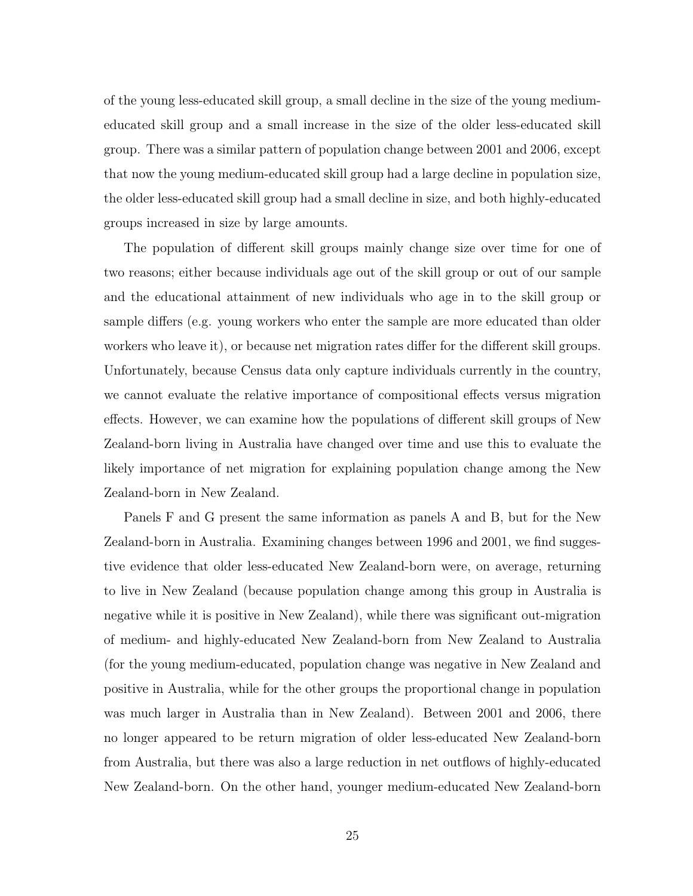of the young less-educated skill group, a small decline in the size of the young mediumeducated skill group and a small increase in the size of the older less-educated skill group. There was a similar pattern of population change between 2001 and 2006, except that now the young medium-educated skill group had a large decline in population size, the older less-educated skill group had a small decline in size, and both highly-educated groups increased in size by large amounts.

The population of different skill groups mainly change size over time for one of two reasons; either because individuals age out of the skill group or out of our sample and the educational attainment of new individuals who age in to the skill group or sample differs (e.g. young workers who enter the sample are more educated than older workers who leave it), or because net migration rates differ for the different skill groups. Unfortunately, because Census data only capture individuals currently in the country, we cannot evaluate the relative importance of compositional effects versus migration effects. However, we can examine how the populations of different skill groups of New Zealand-born living in Australia have changed over time and use this to evaluate the likely importance of net migration for explaining population change among the New Zealand-born in New Zealand.

Panels F and G present the same information as panels A and B, but for the New Zealand-born in Australia. Examining changes between 1996 and 2001, we find suggestive evidence that older less-educated New Zealand-born were, on average, returning to live in New Zealand (because population change among this group in Australia is negative while it is positive in New Zealand), while there was significant out-migration of medium- and highly-educated New Zealand-born from New Zealand to Australia (for the young medium-educated, population change was negative in New Zealand and positive in Australia, while for the other groups the proportional change in population was much larger in Australia than in New Zealand). Between 2001 and 2006, there no longer appeared to be return migration of older less-educated New Zealand-born from Australia, but there was also a large reduction in net outflows of highly-educated New Zealand-born. On the other hand, younger medium-educated New Zealand-born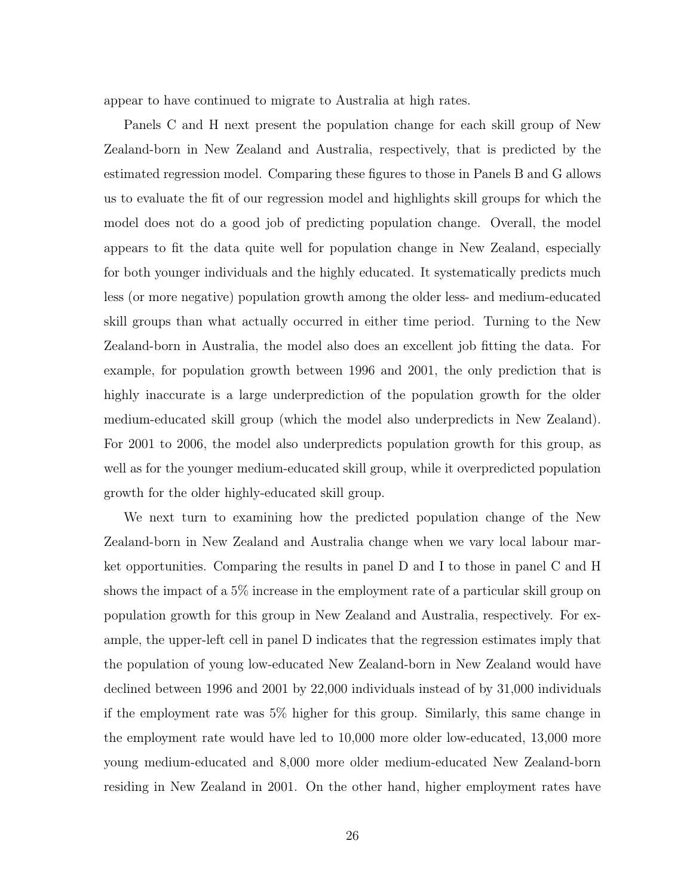appear to have continued to migrate to Australia at high rates.

Panels C and H next present the population change for each skill group of New Zealand-born in New Zealand and Australia, respectively, that is predicted by the estimated regression model. Comparing these figures to those in Panels B and G allows us to evaluate the fit of our regression model and highlights skill groups for which the model does not do a good job of predicting population change. Overall, the model appears to fit the data quite well for population change in New Zealand, especially for both younger individuals and the highly educated. It systematically predicts much less (or more negative) population growth among the older less- and medium-educated skill groups than what actually occurred in either time period. Turning to the New Zealand-born in Australia, the model also does an excellent job fitting the data. For example, for population growth between 1996 and 2001, the only prediction that is highly inaccurate is a large underprediction of the population growth for the older medium-educated skill group (which the model also underpredicts in New Zealand). For 2001 to 2006, the model also underpredicts population growth for this group, as well as for the younger medium-educated skill group, while it overpredicted population growth for the older highly-educated skill group.

We next turn to examining how the predicted population change of the New Zealand-born in New Zealand and Australia change when we vary local labour market opportunities. Comparing the results in panel D and I to those in panel C and H shows the impact of a 5% increase in the employment rate of a particular skill group on population growth for this group in New Zealand and Australia, respectively. For example, the upper-left cell in panel D indicates that the regression estimates imply that the population of young low-educated New Zealand-born in New Zealand would have declined between 1996 and 2001 by 22,000 individuals instead of by 31,000 individuals if the employment rate was 5% higher for this group. Similarly, this same change in the employment rate would have led to 10,000 more older low-educated, 13,000 more young medium-educated and 8,000 more older medium-educated New Zealand-born residing in New Zealand in 2001. On the other hand, higher employment rates have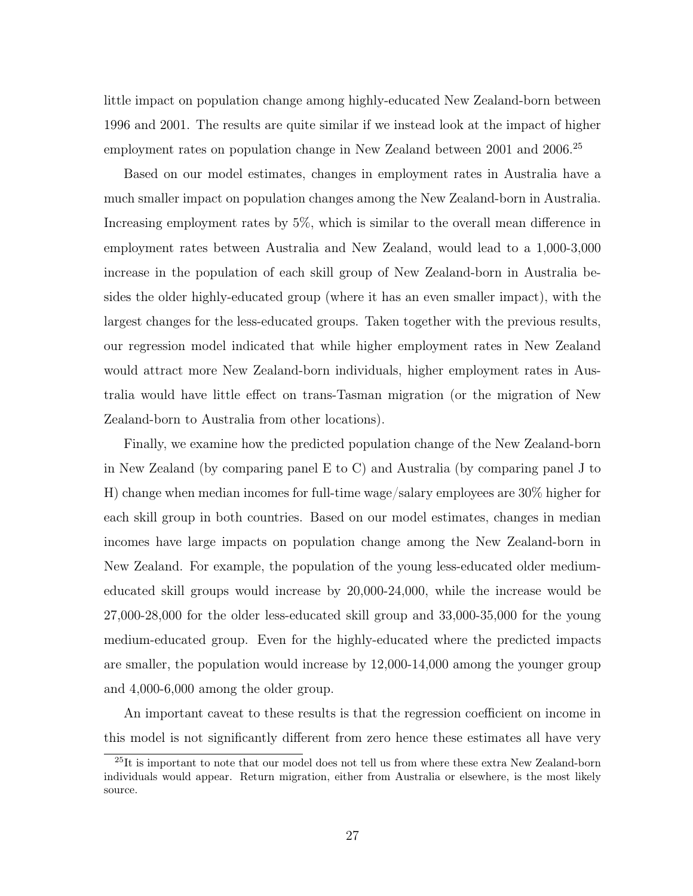little impact on population change among highly-educated New Zealand-born between 1996 and 2001. The results are quite similar if we instead look at the impact of higher employment rates on population change in New Zealand between 2001 and 2006.<sup>25</sup>

Based on our model estimates, changes in employment rates in Australia have a much smaller impact on population changes among the New Zealand-born in Australia. Increasing employment rates by 5%, which is similar to the overall mean difference in employment rates between Australia and New Zealand, would lead to a 1,000-3,000 increase in the population of each skill group of New Zealand-born in Australia besides the older highly-educated group (where it has an even smaller impact), with the largest changes for the less-educated groups. Taken together with the previous results, our regression model indicated that while higher employment rates in New Zealand would attract more New Zealand-born individuals, higher employment rates in Australia would have little effect on trans-Tasman migration (or the migration of New Zealand-born to Australia from other locations).

Finally, we examine how the predicted population change of the New Zealand-born in New Zealand (by comparing panel E to C) and Australia (by comparing panel J to H) change when median incomes for full-time wage/salary employees are 30% higher for each skill group in both countries. Based on our model estimates, changes in median incomes have large impacts on population change among the New Zealand-born in New Zealand. For example, the population of the young less-educated older mediumeducated skill groups would increase by 20,000-24,000, while the increase would be 27,000-28,000 for the older less-educated skill group and 33,000-35,000 for the young medium-educated group. Even for the highly-educated where the predicted impacts are smaller, the population would increase by 12,000-14,000 among the younger group and 4,000-6,000 among the older group.

An important caveat to these results is that the regression coefficient on income in this model is not significantly different from zero hence these estimates all have very

<sup>&</sup>lt;sup>25</sup>It is important to note that our model does not tell us from where these extra New Zealand-born individuals would appear. Return migration, either from Australia or elsewhere, is the most likely source.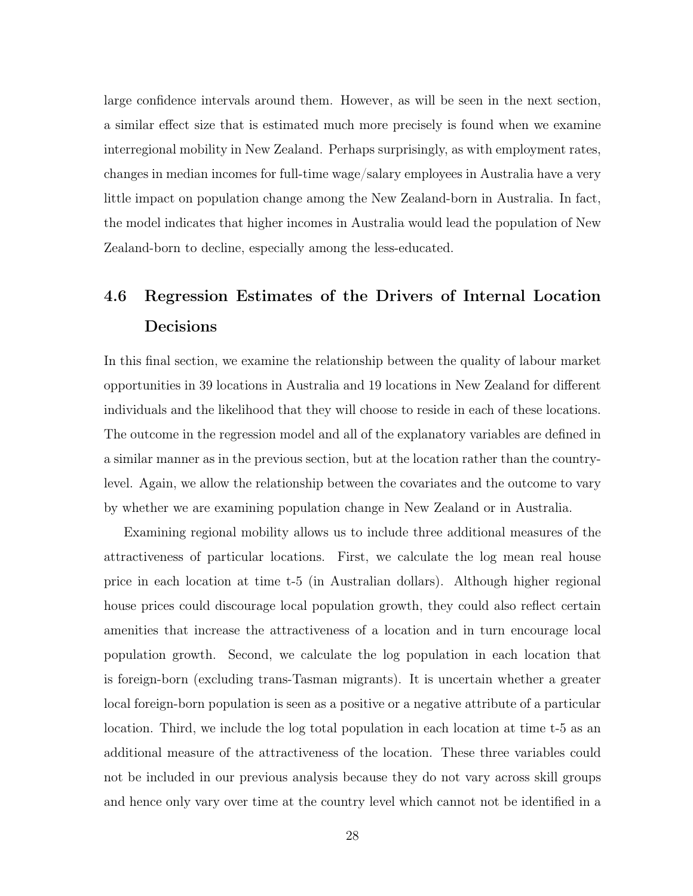large confidence intervals around them. However, as will be seen in the next section, a similar effect size that is estimated much more precisely is found when we examine interregional mobility in New Zealand. Perhaps surprisingly, as with employment rates, changes in median incomes for full-time wage/salary employees in Australia have a very little impact on population change among the New Zealand-born in Australia. In fact, the model indicates that higher incomes in Australia would lead the population of New Zealand-born to decline, especially among the less-educated.

## 4.6 Regression Estimates of the Drivers of Internal Location Decisions

In this final section, we examine the relationship between the quality of labour market opportunities in 39 locations in Australia and 19 locations in New Zealand for different individuals and the likelihood that they will choose to reside in each of these locations. The outcome in the regression model and all of the explanatory variables are defined in a similar manner as in the previous section, but at the location rather than the countrylevel. Again, we allow the relationship between the covariates and the outcome to vary by whether we are examining population change in New Zealand or in Australia.

Examining regional mobility allows us to include three additional measures of the attractiveness of particular locations. First, we calculate the log mean real house price in each location at time t-5 (in Australian dollars). Although higher regional house prices could discourage local population growth, they could also reflect certain amenities that increase the attractiveness of a location and in turn encourage local population growth. Second, we calculate the log population in each location that is foreign-born (excluding trans-Tasman migrants). It is uncertain whether a greater local foreign-born population is seen as a positive or a negative attribute of a particular location. Third, we include the log total population in each location at time t-5 as an additional measure of the attractiveness of the location. These three variables could not be included in our previous analysis because they do not vary across skill groups and hence only vary over time at the country level which cannot not be identified in a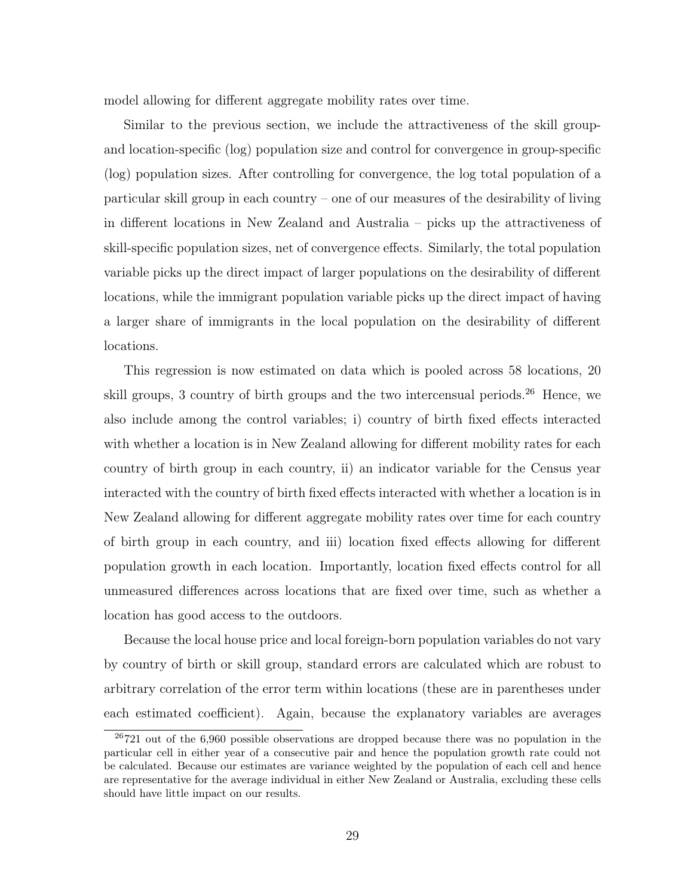model allowing for different aggregate mobility rates over time.

Similar to the previous section, we include the attractiveness of the skill groupand location-specific (log) population size and control for convergence in group-specific (log) population sizes. After controlling for convergence, the log total population of a particular skill group in each country – one of our measures of the desirability of living in different locations in New Zealand and Australia – picks up the attractiveness of skill-specific population sizes, net of convergence effects. Similarly, the total population variable picks up the direct impact of larger populations on the desirability of different locations, while the immigrant population variable picks up the direct impact of having a larger share of immigrants in the local population on the desirability of different locations.

This regression is now estimated on data which is pooled across 58 locations, 20 skill groups, 3 country of birth groups and the two intercensual periods.<sup>26</sup> Hence, we also include among the control variables; i) country of birth fixed effects interacted with whether a location is in New Zealand allowing for different mobility rates for each country of birth group in each country, ii) an indicator variable for the Census year interacted with the country of birth fixed effects interacted with whether a location is in New Zealand allowing for different aggregate mobility rates over time for each country of birth group in each country, and iii) location fixed effects allowing for different population growth in each location. Importantly, location fixed effects control for all unmeasured differences across locations that are fixed over time, such as whether a location has good access to the outdoors.

Because the local house price and local foreign-born population variables do not vary by country of birth or skill group, standard errors are calculated which are robust to arbitrary correlation of the error term within locations (these are in parentheses under each estimated coefficient). Again, because the explanatory variables are averages

 $^{26}721$  out of the 6,960 possible observations are dropped because there was no population in the particular cell in either year of a consecutive pair and hence the population growth rate could not be calculated. Because our estimates are variance weighted by the population of each cell and hence are representative for the average individual in either New Zealand or Australia, excluding these cells should have little impact on our results.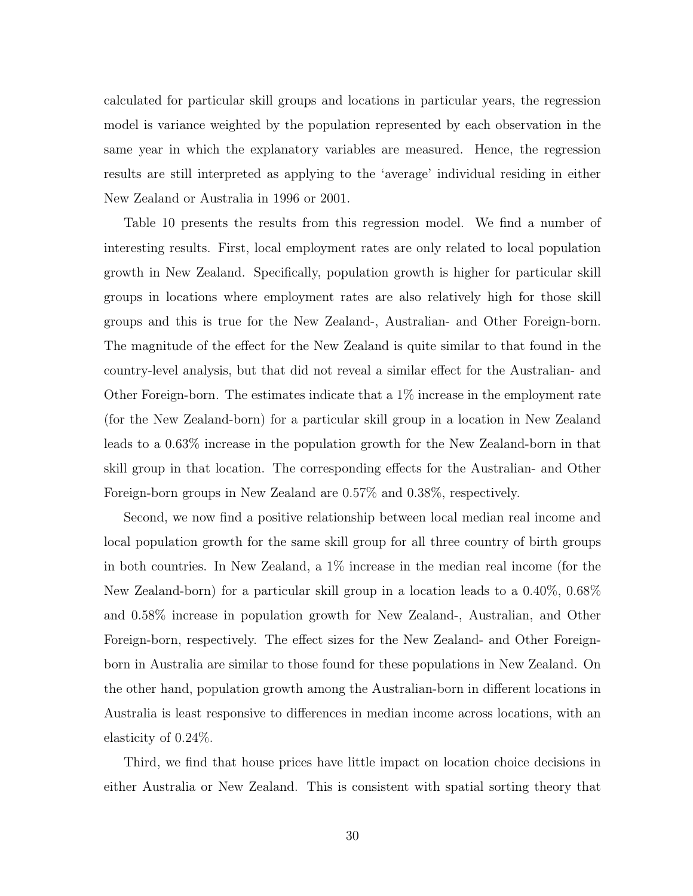calculated for particular skill groups and locations in particular years, the regression model is variance weighted by the population represented by each observation in the same year in which the explanatory variables are measured. Hence, the regression results are still interpreted as applying to the 'average' individual residing in either New Zealand or Australia in 1996 or 2001.

Table 10 presents the results from this regression model. We find a number of interesting results. First, local employment rates are only related to local population growth in New Zealand. Specifically, population growth is higher for particular skill groups in locations where employment rates are also relatively high for those skill groups and this is true for the New Zealand-, Australian- and Other Foreign-born. The magnitude of the effect for the New Zealand is quite similar to that found in the country-level analysis, but that did not reveal a similar effect for the Australian- and Other Foreign-born. The estimates indicate that a 1% increase in the employment rate (for the New Zealand-born) for a particular skill group in a location in New Zealand leads to a 0.63% increase in the population growth for the New Zealand-born in that skill group in that location. The corresponding effects for the Australian- and Other Foreign-born groups in New Zealand are 0.57% and 0.38%, respectively.

Second, we now find a positive relationship between local median real income and local population growth for the same skill group for all three country of birth groups in both countries. In New Zealand, a 1% increase in the median real income (for the New Zealand-born) for a particular skill group in a location leads to a 0.40%, 0.68% and 0.58% increase in population growth for New Zealand-, Australian, and Other Foreign-born, respectively. The effect sizes for the New Zealand- and Other Foreignborn in Australia are similar to those found for these populations in New Zealand. On the other hand, population growth among the Australian-born in different locations in Australia is least responsive to differences in median income across locations, with an elasticity of 0.24%.

Third, we find that house prices have little impact on location choice decisions in either Australia or New Zealand. This is consistent with spatial sorting theory that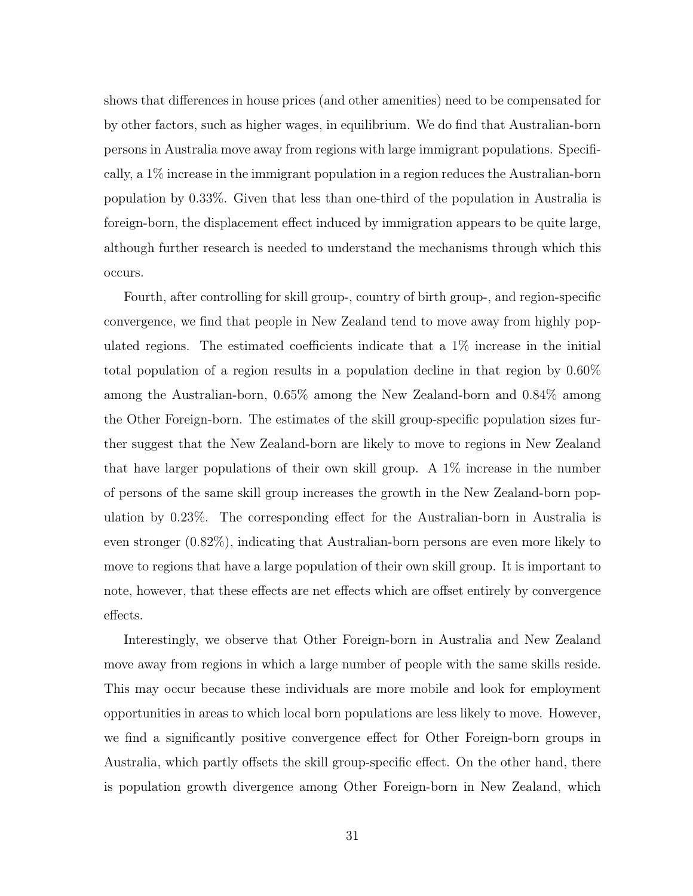shows that differences in house prices (and other amenities) need to be compensated for by other factors, such as higher wages, in equilibrium. We do find that Australian-born persons in Australia move away from regions with large immigrant populations. Specifically, a 1% increase in the immigrant population in a region reduces the Australian-born population by 0.33%. Given that less than one-third of the population in Australia is foreign-born, the displacement effect induced by immigration appears to be quite large, although further research is needed to understand the mechanisms through which this occurs.

Fourth, after controlling for skill group-, country of birth group-, and region-specific convergence, we find that people in New Zealand tend to move away from highly populated regions. The estimated coefficients indicate that a 1% increase in the initial total population of a region results in a population decline in that region by 0.60% among the Australian-born, 0.65% among the New Zealand-born and 0.84% among the Other Foreign-born. The estimates of the skill group-specific population sizes further suggest that the New Zealand-born are likely to move to regions in New Zealand that have larger populations of their own skill group. A 1% increase in the number of persons of the same skill group increases the growth in the New Zealand-born population by 0.23%. The corresponding effect for the Australian-born in Australia is even stronger (0.82%), indicating that Australian-born persons are even more likely to move to regions that have a large population of their own skill group. It is important to note, however, that these effects are net effects which are offset entirely by convergence effects.

Interestingly, we observe that Other Foreign-born in Australia and New Zealand move away from regions in which a large number of people with the same skills reside. This may occur because these individuals are more mobile and look for employment opportunities in areas to which local born populations are less likely to move. However, we find a significantly positive convergence effect for Other Foreign-born groups in Australia, which partly offsets the skill group-specific effect. On the other hand, there is population growth divergence among Other Foreign-born in New Zealand, which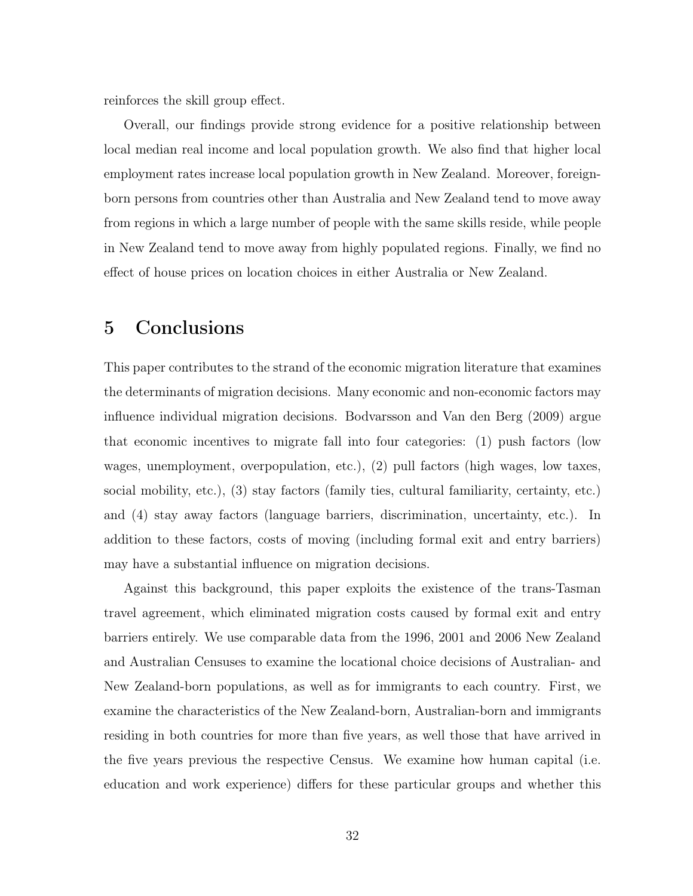reinforces the skill group effect.

Overall, our findings provide strong evidence for a positive relationship between local median real income and local population growth. We also find that higher local employment rates increase local population growth in New Zealand. Moreover, foreignborn persons from countries other than Australia and New Zealand tend to move away from regions in which a large number of people with the same skills reside, while people in New Zealand tend to move away from highly populated regions. Finally, we find no effect of house prices on location choices in either Australia or New Zealand.

## 5 Conclusions

This paper contributes to the strand of the economic migration literature that examines the determinants of migration decisions. Many economic and non-economic factors may influence individual migration decisions. Bodvarsson and Van den Berg (2009) argue that economic incentives to migrate fall into four categories: (1) push factors (low wages, unemployment, overpopulation, etc.), (2) pull factors (high wages, low taxes, social mobility, etc.), (3) stay factors (family ties, cultural familiarity, certainty, etc.) and (4) stay away factors (language barriers, discrimination, uncertainty, etc.). In addition to these factors, costs of moving (including formal exit and entry barriers) may have a substantial influence on migration decisions.

Against this background, this paper exploits the existence of the trans-Tasman travel agreement, which eliminated migration costs caused by formal exit and entry barriers entirely. We use comparable data from the 1996, 2001 and 2006 New Zealand and Australian Censuses to examine the locational choice decisions of Australian- and New Zealand-born populations, as well as for immigrants to each country. First, we examine the characteristics of the New Zealand-born, Australian-born and immigrants residing in both countries for more than five years, as well those that have arrived in the five years previous the respective Census. We examine how human capital (i.e. education and work experience) differs for these particular groups and whether this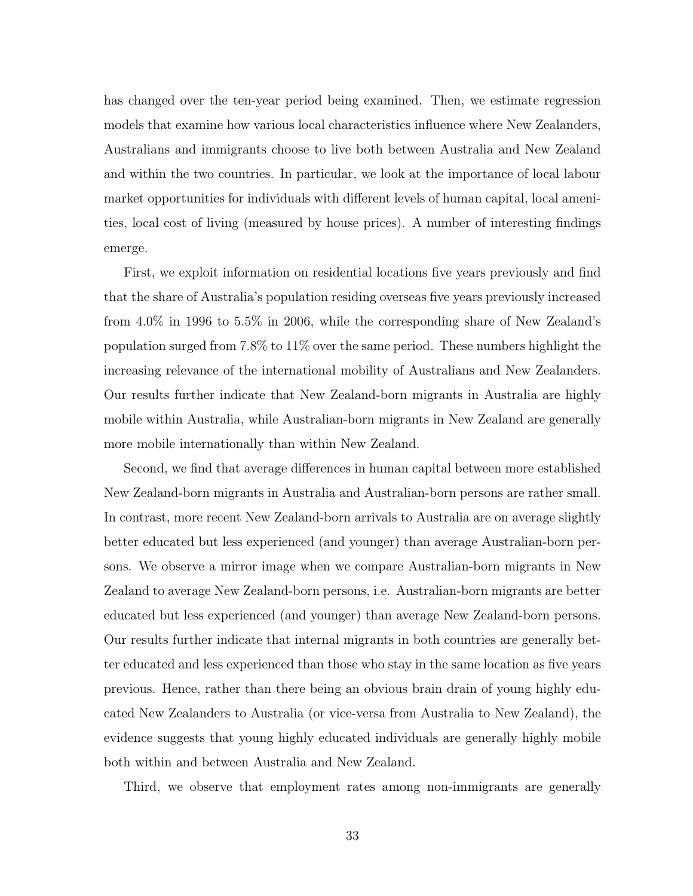has changed over the ten-year period being examined. Then, we estimate regression models that examine how various local characteristics influence where New Zealanders, Australians and immigrants choose to live both between Australia and New Zealand and within the two countries. In particular, we look at the importance of local labour market opportunities for individuals with different levels of human capital, local amenities, local cost of living (measured by house prices). A number of interesting findings emerge.

First, we exploit information on residential locations five years previously and find that the share of Australia's population residing overseas five years previously increased from 4.0% in 1996 to 5.5% in 2006, while the corresponding share of New Zealand's population surged from 7.8% to 11% over the same period. These numbers highlight the increasing relevance of the international mobility of Australians and New Zealanders. Our results further indicate that New Zealand-born migrants in Australia are highly mobile within Australia, while Australian-born migrants in New Zealand are generally more mobile internationally than within New Zealand.

Second, we find that average differences in human capital between more established New Zealand-born migrants in Australia and Australian-born persons are rather small. In contrast, more recent New Zealand-born arrivals to Australia are on average slightly better educated but less experienced (and younger) than average Australian-born persons. We observe a mirror image when we compare Australian-born migrants in New Zealand to average New Zealand-born persons, i.e. Australian-born migrants are better educated but less experienced (and younger) than average New Zealand-born persons. Our results further indicate that internal migrants in both countries are generally better educated and less experienced than those who stay in the same location as five years previous. Hence, rather than there being an obvious brain drain of young highly educated New Zealanders to Australia (or vice-versa from Australia to New Zealand), the evidence suggests that young highly educated individuals are generally highly mobile both within and between Australia and New Zealand.

Third, we observe that employment rates among non-immigrants are generally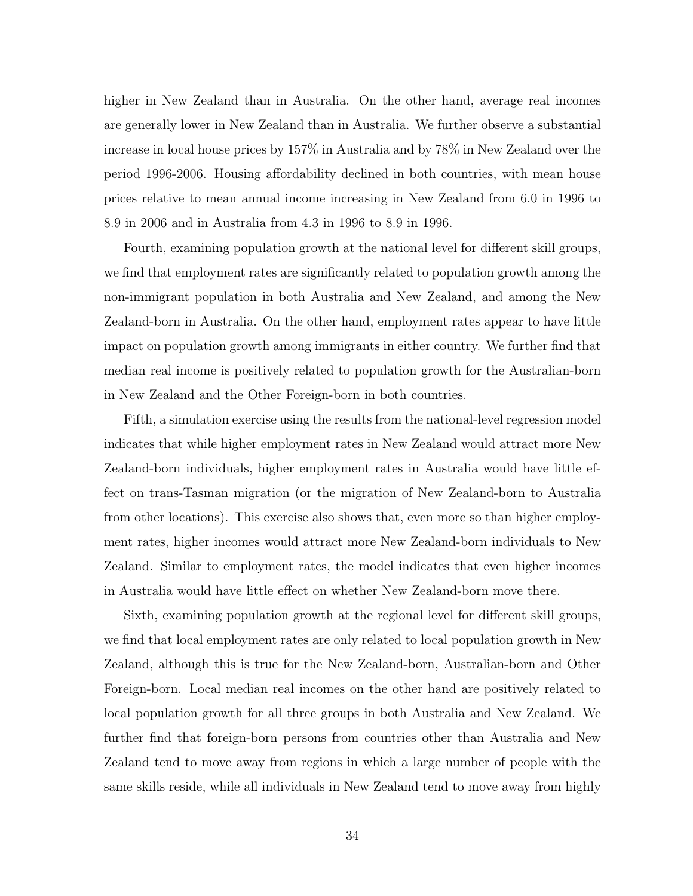higher in New Zealand than in Australia. On the other hand, average real incomes are generally lower in New Zealand than in Australia. We further observe a substantial increase in local house prices by 157% in Australia and by 78% in New Zealand over the period 1996-2006. Housing affordability declined in both countries, with mean house prices relative to mean annual income increasing in New Zealand from 6.0 in 1996 to 8.9 in 2006 and in Australia from 4.3 in 1996 to 8.9 in 1996.

Fourth, examining population growth at the national level for different skill groups, we find that employment rates are significantly related to population growth among the non-immigrant population in both Australia and New Zealand, and among the New Zealand-born in Australia. On the other hand, employment rates appear to have little impact on population growth among immigrants in either country. We further find that median real income is positively related to population growth for the Australian-born in New Zealand and the Other Foreign-born in both countries.

Fifth, a simulation exercise using the results from the national-level regression model indicates that while higher employment rates in New Zealand would attract more New Zealand-born individuals, higher employment rates in Australia would have little effect on trans-Tasman migration (or the migration of New Zealand-born to Australia from other locations). This exercise also shows that, even more so than higher employment rates, higher incomes would attract more New Zealand-born individuals to New Zealand. Similar to employment rates, the model indicates that even higher incomes in Australia would have little effect on whether New Zealand-born move there.

Sixth, examining population growth at the regional level for different skill groups, we find that local employment rates are only related to local population growth in New Zealand, although this is true for the New Zealand-born, Australian-born and Other Foreign-born. Local median real incomes on the other hand are positively related to local population growth for all three groups in both Australia and New Zealand. We further find that foreign-born persons from countries other than Australia and New Zealand tend to move away from regions in which a large number of people with the same skills reside, while all individuals in New Zealand tend to move away from highly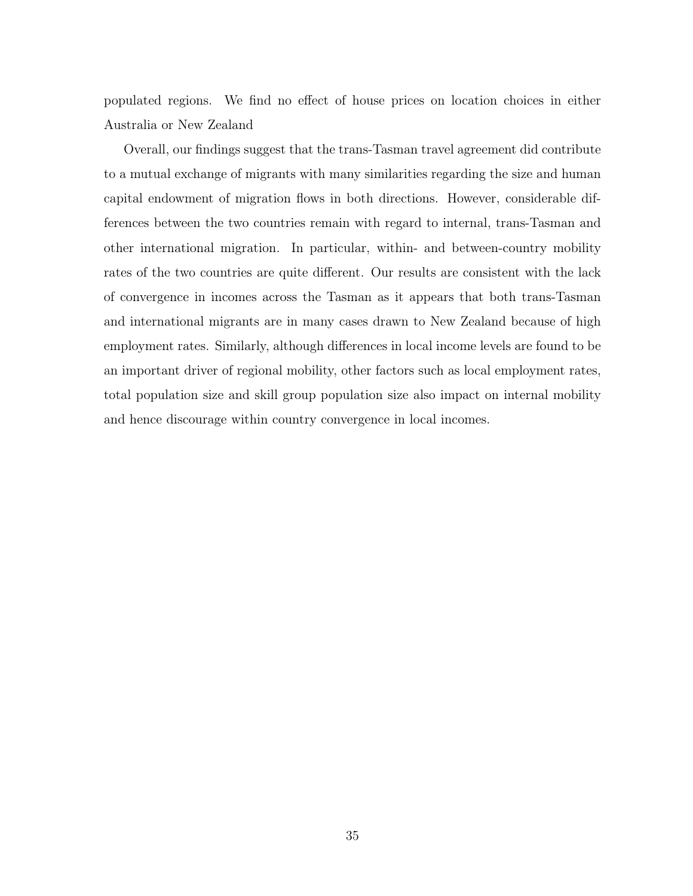populated regions. We find no effect of house prices on location choices in either Australia or New Zealand

Overall, our findings suggest that the trans-Tasman travel agreement did contribute to a mutual exchange of migrants with many similarities regarding the size and human capital endowment of migration flows in both directions. However, considerable differences between the two countries remain with regard to internal, trans-Tasman and other international migration. In particular, within- and between-country mobility rates of the two countries are quite different. Our results are consistent with the lack of convergence in incomes across the Tasman as it appears that both trans-Tasman and international migrants are in many cases drawn to New Zealand because of high employment rates. Similarly, although differences in local income levels are found to be an important driver of regional mobility, other factors such as local employment rates, total population size and skill group population size also impact on internal mobility and hence discourage within country convergence in local incomes.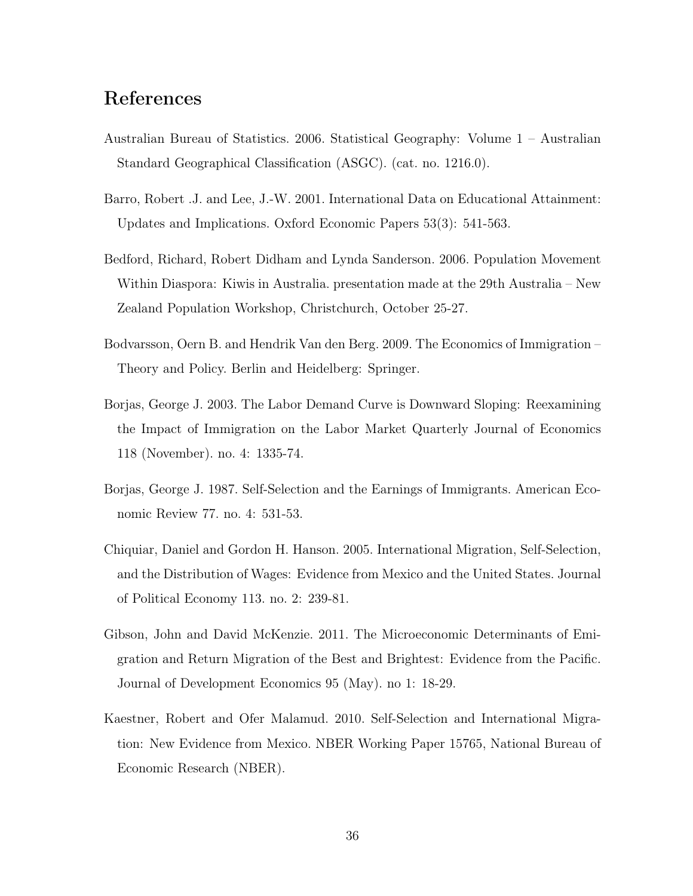## References

- Australian Bureau of Statistics. 2006. Statistical Geography: Volume 1 Australian Standard Geographical Classification (ASGC). (cat. no. 1216.0).
- Barro, Robert .J. and Lee, J.-W. 2001. International Data on Educational Attainment: Updates and Implications. Oxford Economic Papers 53(3): 541-563.
- Bedford, Richard, Robert Didham and Lynda Sanderson. 2006. Population Movement Within Diaspora: Kiwis in Australia. presentation made at the 29th Australia – New Zealand Population Workshop, Christchurch, October 25-27.
- Bodvarsson, Oern B. and Hendrik Van den Berg. 2009. The Economics of Immigration Theory and Policy. Berlin and Heidelberg: Springer.
- Borjas, George J. 2003. The Labor Demand Curve is Downward Sloping: Reexamining the Impact of Immigration on the Labor Market Quarterly Journal of Economics 118 (November). no. 4: 1335-74.
- Borjas, George J. 1987. Self-Selection and the Earnings of Immigrants. American Economic Review 77. no. 4: 531-53.
- Chiquiar, Daniel and Gordon H. Hanson. 2005. International Migration, Self-Selection, and the Distribution of Wages: Evidence from Mexico and the United States. Journal of Political Economy 113. no. 2: 239-81.
- Gibson, John and David McKenzie. 2011. The Microeconomic Determinants of Emigration and Return Migration of the Best and Brightest: Evidence from the Pacific. Journal of Development Economics 95 (May). no 1: 18-29.
- Kaestner, Robert and Ofer Malamud. 2010. Self-Selection and International Migration: New Evidence from Mexico. NBER Working Paper 15765, National Bureau of Economic Research (NBER).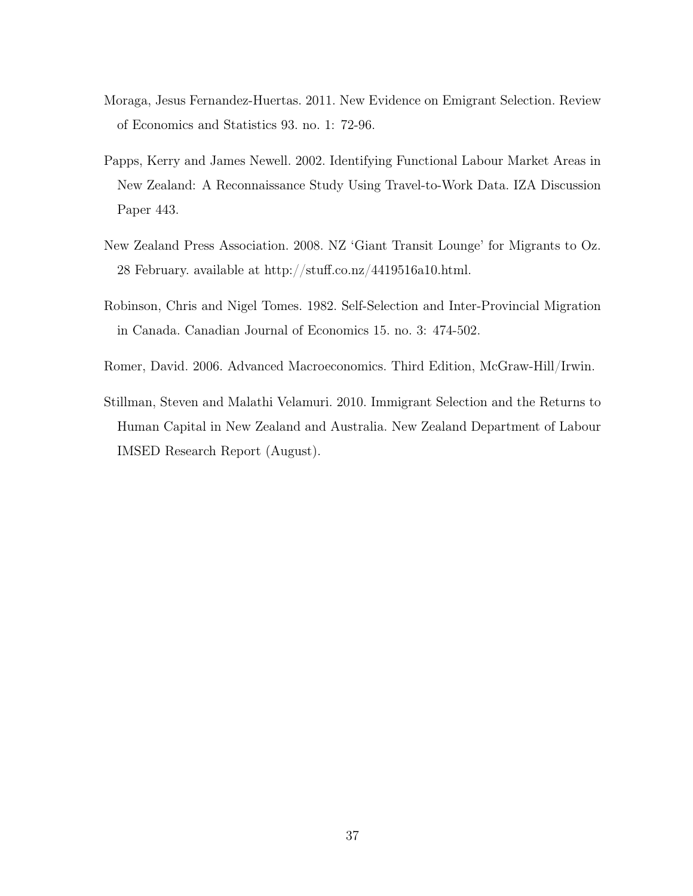- Moraga, Jesus Fernandez-Huertas. 2011. New Evidence on Emigrant Selection. Review of Economics and Statistics 93. no. 1: 72-96.
- Papps, Kerry and James Newell. 2002. Identifying Functional Labour Market Areas in New Zealand: A Reconnaissance Study Using Travel-to-Work Data. IZA Discussion Paper 443.
- New Zealand Press Association. 2008. NZ 'Giant Transit Lounge' for Migrants to Oz. 28 February. available at http://stuff.co.nz/4419516a10.html.
- Robinson, Chris and Nigel Tomes. 1982. Self-Selection and Inter-Provincial Migration in Canada. Canadian Journal of Economics 15. no. 3: 474-502.
- Romer, David. 2006. Advanced Macroeconomics. Third Edition, McGraw-Hill/Irwin.
- Stillman, Steven and Malathi Velamuri. 2010. Immigrant Selection and the Returns to Human Capital in New Zealand and Australia. New Zealand Department of Labour IMSED Research Report (August).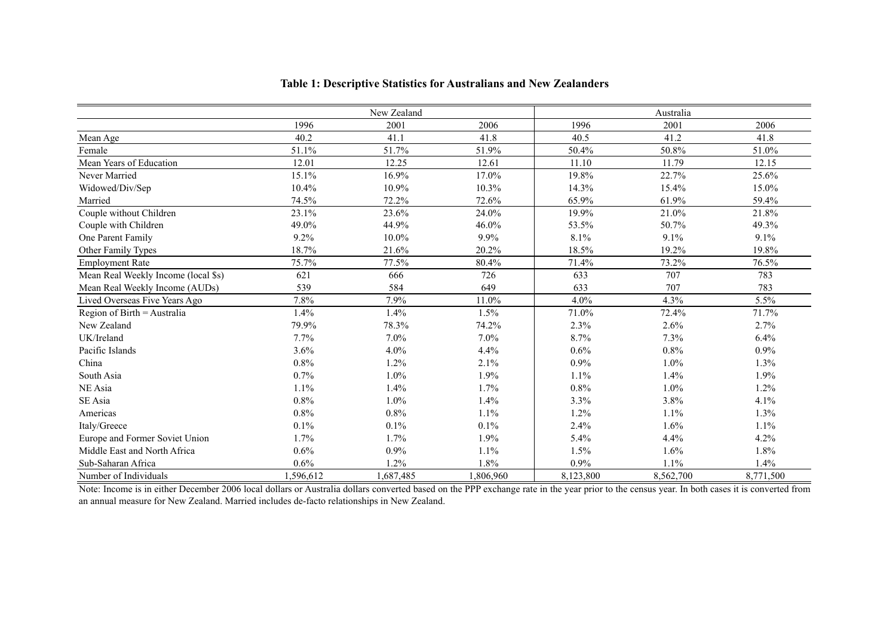|                                     |           | New Zealand |           |           | Australia |           |
|-------------------------------------|-----------|-------------|-----------|-----------|-----------|-----------|
|                                     | 1996      | 2001        | 2006      | 1996      | 2001      | 2006      |
| Mean Age                            | 40.2      | 41.1        | 41.8      | 40.5      | 41.2      | 41.8      |
| Female                              | 51.1%     | 51.7%       | 51.9%     | 50.4%     | 50.8%     | 51.0%     |
| Mean Years of Education             | 12.01     | 12.25       | 12.61     | 11.10     | 11.79     | 12.15     |
| Never Married                       | 15.1%     | 16.9%       | 17.0%     | 19.8%     | 22.7%     | 25.6%     |
| Widowed/Div/Sep                     | 10.4%     | 10.9%       | 10.3%     | 14.3%     | 15.4%     | 15.0%     |
| Married                             | 74.5%     | 72.2%       | 72.6%     | 65.9%     | 61.9%     | 59.4%     |
| Couple without Children             | 23.1%     | 23.6%       | 24.0%     | 19.9%     | 21.0%     | 21.8%     |
| Couple with Children                | 49.0%     | 44.9%       | 46.0%     | 53.5%     | 50.7%     | 49.3%     |
| One Parent Family                   | 9.2%      | $10.0\%$    | 9.9%      | 8.1%      | 9.1%      | 9.1%      |
| Other Family Types                  | 18.7%     | 21.6%       | 20.2%     | 18.5%     | 19.2%     | 19.8%     |
| <b>Employment Rate</b>              | 75.7%     | 77.5%       | 80.4%     | 71.4%     | 73.2%     | 76.5%     |
| Mean Real Weekly Income (local \$s) | 621       | 666         | 726       | 633       | 707       | 783       |
| Mean Real Weekly Income (AUDs)      | 539       | 584         | 649       | 633       | 707       | 783       |
| Lived Overseas Five Years Ago       | 7.8%      | 7.9%        | 11.0%     | 4.0%      | 4.3%      | 5.5%      |
| Region of Birth = Australia         | 1.4%      | 1.4%        | 1.5%      | 71.0%     | 72.4%     | 71.7%     |
| New Zealand                         | 79.9%     | 78.3%       | 74.2%     | 2.3%      | 2.6%      | 2.7%      |
| UK/Ireland                          | 7.7%      | 7.0%        | 7.0%      | 8.7%      | 7.3%      | 6.4%      |
| Pacific Islands                     | 3.6%      | 4.0%        | 4.4%      | 0.6%      | 0.8%      | 0.9%      |
| China                               | 0.8%      | 1.2%        | 2.1%      | 0.9%      | 1.0%      | 1.3%      |
| South Asia                          | 0.7%      | 1.0%        | 1.9%      | 1.1%      | 1.4%      | 1.9%      |
| NE Asia                             | 1.1%      | 1.4%        | 1.7%      | 0.8%      | 1.0%      | 1.2%      |
| SE Asia                             | 0.8%      | 1.0%        | 1.4%      | 3.3%      | 3.8%      | 4.1%      |
| Americas                            | 0.8%      | 0.8%        | 1.1%      | 1.2%      | 1.1%      | 1.3%      |
| Italy/Greece                        | 0.1%      | 0.1%        | 0.1%      | 2.4%      | 1.6%      | 1.1%      |
| Europe and Former Soviet Union      | 1.7%      | 1.7%        | 1.9%      | 5.4%      | 4.4%      | 4.2%      |
| Middle East and North Africa        | 0.6%      | 0.9%        | 1.1%      | 1.5%      | 1.6%      | 1.8%      |
| Sub-Saharan Africa                  | 0.6%      | 1.2%        | 1.8%      | $0.9\%$   | 1.1%      | 1.4%      |
| Number of Individuals               | 1,596,612 | 1,687,485   | 1,806,960 | 8,123,800 | 8,562,700 | 8,771,500 |

#### **Table 1: Descriptive Statistics for Australians and New Zealanders**

Note: Income is in either December 2006 local dollars or Australia dollars converted based on the PPP exchange rate in the year prior to the census year. In both cases it is converted from an annual measure for New Zealand. Married includes de-facto relationships in New Zealand.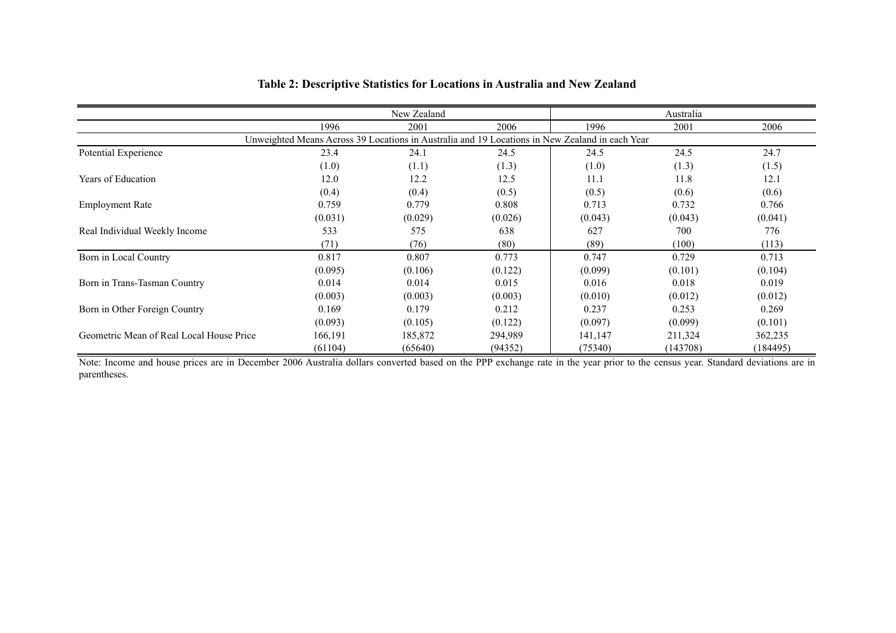|                                                                                                |         | New Zealand |         |         | Australia |          |  |  |  |  |
|------------------------------------------------------------------------------------------------|---------|-------------|---------|---------|-----------|----------|--|--|--|--|
|                                                                                                | 1996    | 2001        | 2006    | 1996    | 2001      | 2006     |  |  |  |  |
| Unweighted Means Across 39 Locations in Australia and 19 Locations in New Zealand in each Year |         |             |         |         |           |          |  |  |  |  |
| Potential Experience                                                                           | 23.4    | 24.1        | 24.5    | 24.5    | 24.5      | 24.7     |  |  |  |  |
|                                                                                                | (1.0)   | (1.1)       | (1.3)   | (1.0)   | (1.3)     | (1.5)    |  |  |  |  |
| Years of Education                                                                             | 12.0    | 12.2        | 12.5    | 11.1    | 11.8      | 12.1     |  |  |  |  |
|                                                                                                | (0.4)   | (0.4)       | (0.5)   | (0.5)   | (0.6)     | (0.6)    |  |  |  |  |
| <b>Employment Rate</b>                                                                         | 0.759   | 0.779       | 0.808   | 0.713   | 0.732     | 0.766    |  |  |  |  |
|                                                                                                | (0.031) | (0.029)     | (0.026) | (0.043) | (0.043)   | (0.041)  |  |  |  |  |
| Real Individual Weekly Income                                                                  | 533     | 575         | 638     | 627     | 700       | 776      |  |  |  |  |
|                                                                                                | (71)    | (76)        | (80)    | (89)    | (100)     | (113)    |  |  |  |  |
| Born in Local Country                                                                          | 0.817   | 0.807       | 0.773   | 0.747   | 0.729     | 0.713    |  |  |  |  |
|                                                                                                | (0.095) | (0.106)     | (0.122) | (0.099) | (0.101)   | (0.104)  |  |  |  |  |
| Born in Trans-Tasman Country                                                                   | 0.014   | 0.014       | 0.015   | 0.016   | 0.018     | 0.019    |  |  |  |  |
|                                                                                                | (0.003) | (0.003)     | (0.003) | (0.010) | (0.012)   | (0.012)  |  |  |  |  |
| Born in Other Foreign Country                                                                  | 0.169   | 0.179       | 0.212   | 0.237   | 0.253     | 0.269    |  |  |  |  |
|                                                                                                | (0.093) | (0.105)     | (0.122) | (0.097) | (0.099)   | (0.101)  |  |  |  |  |
| Geometric Mean of Real Local House Price                                                       | 166,191 | 185,872     | 294,989 | 141,147 | 211,324   | 362,235  |  |  |  |  |
|                                                                                                | (61104) | (65640)     | (94352) | (75340) | (143708)  | (184495) |  |  |  |  |

#### **Table 2: Descriptive Statistics for Locations in Australia and New Zealand**

Note: Income and house prices are in December 2006 Australia dollars converted based on the PPP exchange rate in the year prior to the census year. Standard deviations are in parentheses.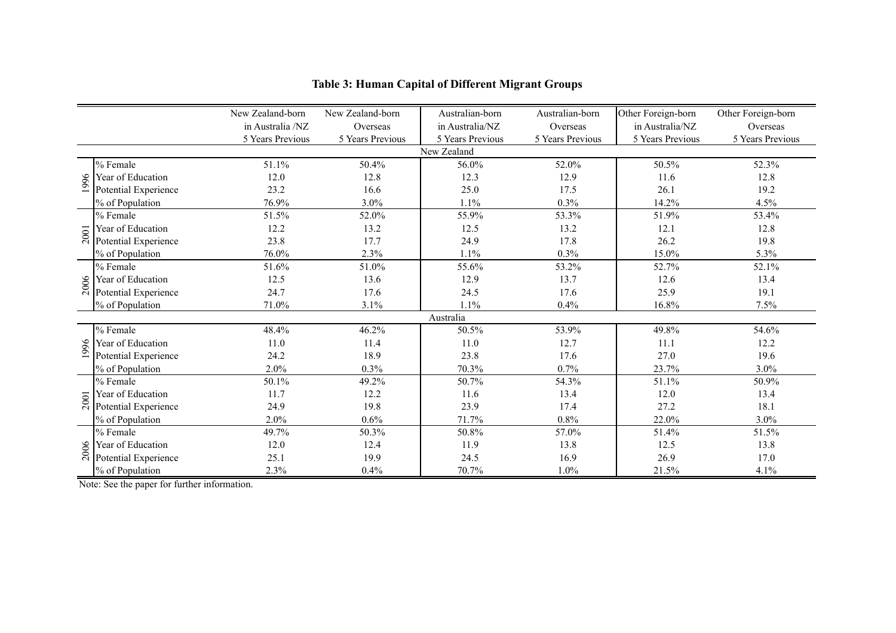|      |                      | New Zealand-born | New Zealand-born | Australian-born  | Australian-born  | Other Foreign-born | Other Foreign-born |  |  |  |  |
|------|----------------------|------------------|------------------|------------------|------------------|--------------------|--------------------|--|--|--|--|
|      |                      | in Australia /NZ | Overseas         | in Australia/NZ  | Overseas         | in Australia/NZ    | Overseas           |  |  |  |  |
|      |                      | 5 Years Previous | 5 Years Previous | 5 Years Previous | 5 Years Previous | 5 Years Previous   | 5 Years Previous   |  |  |  |  |
|      | New Zealand          |                  |                  |                  |                  |                    |                    |  |  |  |  |
|      | % Female             | 51.1%            | 50.4%            | 56.0%            | 52.0%            | 50.5%              | 52.3%              |  |  |  |  |
| 1996 | Year of Education    | 12.0             | 12.8             | 12.3             | 12.9             | 11.6               | 12.8               |  |  |  |  |
|      | Potential Experience | 23.2             | 16.6             | 25.0             | 17.5             | 26.1               | 19.2               |  |  |  |  |
|      | % of Population      | 76.9%            | 3.0%             | 1.1%             | 0.3%             | 14.2%              | 4.5%               |  |  |  |  |
|      | % Female             | 51.5%            | 52.0%            | 55.9%            | 53.3%            | 51.9%              | 53.4%              |  |  |  |  |
|      | Year of Education    | 12.2             | 13.2             | 12.5             | 13.2             | 12.1               | 12.8               |  |  |  |  |
| 2001 | Potential Experience | 23.8             | 17.7             | 24.9             | 17.8             | 26.2               | 19.8               |  |  |  |  |
|      | % of Population      | 76.0%            | 2.3%             | 1.1%             | 0.3%             | 15.0%              | 5.3%               |  |  |  |  |
| 2006 | % Female             | 51.6%            | 51.0%            | 55.6%            | 53.2%            | 52.7%              | 52.1%              |  |  |  |  |
|      | Year of Education    | 12.5             | 13.6             | 12.9             | 13.7             | 12.6               | 13.4               |  |  |  |  |
|      | Potential Experience | 24.7             | 17.6             | 24.5             | 17.6             | 25.9               | 19.1               |  |  |  |  |
|      | % of Population      | 71.0%            | 3.1%             | 1.1%             | 0.4%             | 16.8%              | 7.5%               |  |  |  |  |
|      |                      |                  |                  | Australia        |                  |                    |                    |  |  |  |  |
|      | % Female             | 48.4%            | 46.2%            | 50.5%            | 53.9%            | 49.8%              | 54.6%              |  |  |  |  |
| 1996 | Year of Education    | 11.0             | 11.4             | 11.0             | 12.7             | 11.1               | 12.2               |  |  |  |  |
|      | Potential Experience | 24.2             | 18.9             | 23.8             | 17.6             | 27.0               | 19.6               |  |  |  |  |
|      | % of Population      | 2.0%             | 0.3%             | 70.3%            | 0.7%             | 23.7%              | 3.0%               |  |  |  |  |
|      | % Female             | 50.1%            | 49.2%            | 50.7%            | 54.3%            | 51.1%              | 50.9%              |  |  |  |  |
|      | Year of Education    | 11.7             | 12.2             | 11.6             | 13.4             | 12.0               | 13.4               |  |  |  |  |
| 2001 | Potential Experience | 24.9             | 19.8             | 23.9             | 17.4             | 27.2               | 18.1               |  |  |  |  |
|      | % of Population      | 2.0%             | 0.6%             | 71.7%            | 0.8%             | 22.0%              | 3.0%               |  |  |  |  |
|      | % Female             | 49.7%            | 50.3%            | 50.8%            | 57.0%            | 51.4%              | 51.5%              |  |  |  |  |
| 2006 | Year of Education    | 12.0             | 12.4             | 11.9             | 13.8             | 12.5               | 13.8               |  |  |  |  |
|      | Potential Experience | 25.1             | 19.9             | 24.5             | 16.9             | 26.9               | 17.0               |  |  |  |  |
|      | % of Population      | 2.3%             | 0.4%             | 70.7%            | 1.0%             | 21.5%              | 4.1%               |  |  |  |  |

## **Table 3: Human Capital of Different Migrant Groups**

Note: See the paper for further information.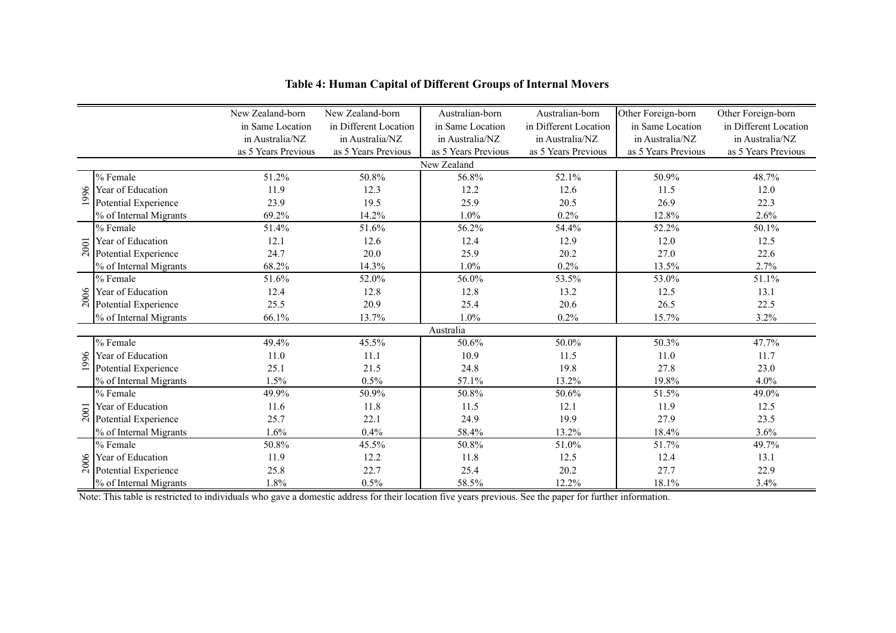|      |                        | New Zealand-born    | New Zealand-born      | Australian-born     | Australian-born       | Other Foreign-born  | Other Foreign-born    |
|------|------------------------|---------------------|-----------------------|---------------------|-----------------------|---------------------|-----------------------|
|      |                        | in Same Location    | in Different Location | in Same Location    | in Different Location | in Same Location    | in Different Location |
|      |                        | in Australia/NZ     | in Australia/NZ       | in Australia/NZ     | in Australia/NZ       | in Australia/NZ     | in Australia/NZ       |
|      |                        | as 5 Years Previous | as 5 Years Previous   | as 5 Years Previous | as 5 Years Previous   | as 5 Years Previous | as 5 Years Previous   |
|      |                        |                     |                       | New Zealand         |                       |                     |                       |
|      | % Female               | 51.2%               | 50.8%                 | 56.8%               | 52.1%                 | 50.9%               | 48.7%                 |
| 1996 | Year of Education      | 11.9                | 12.3                  | 12.2                | 12.6                  | 11.5                | 12.0                  |
|      | Potential Experience   | 23.9                | 19.5                  | 25.9                | 20.5                  | 26.9                | 22.3                  |
|      | % of Internal Migrants | 69.2%               | 14.2%                 | 1.0%                | 0.2%                  | 12.8%               | 2.6%                  |
|      | % Female               | 51.4%               | 51.6%                 | 56.2%               | 54.4%                 | 52.2%               | 50.1%                 |
| 2001 | Year of Education      | 12.1                | 12.6                  | 12.4                | 12.9                  | 12.0                | 12.5                  |
|      | Potential Experience   | 24.7                | 20.0                  | 25.9                | 20.2                  | 27.0                | 22.6                  |
|      | % of Internal Migrants | 68.2%               | 14.3%                 | 1.0%                | 0.2%                  | 13.5%               | 2.7%                  |
|      | % Female               | 51.6%               | 52.0%                 | 56.0%               | 53.5%                 | 53.0%               | 51.1%                 |
|      | Year of Education      | 12.4                | 12.8                  | 12.8                | 13.2                  | 12.5                | 13.1                  |
| 2006 | Potential Experience   | 25.5                | 20.9                  | 25.4                | 20.6                  | 26.5                | 22.5                  |
|      | % of Internal Migrants | 66.1%               | 13.7%                 | 1.0%                | 0.2%                  | 15.7%               | 3.2%                  |
|      |                        |                     |                       | Australia           |                       |                     |                       |
|      | % Female               | 49.4%               | 45.5%                 | 50.6%               | 50.0%                 | 50.3%               | 47.7%                 |
| 1996 | Year of Education      | 11.0                | 11.1                  | 10.9                | 11.5                  | 11.0                | 11.7                  |
|      | Potential Experience   | 25.1                | 21.5                  | 24.8                | 19.8                  | 27.8                | 23.0                  |
|      | % of Internal Migrants | 1.5%                | 0.5%                  | 57.1%               | 13.2%                 | 19.8%               | 4.0%                  |
|      | % Female               | 49.9%               | 50.9%                 | 50.8%               | 50.6%                 | 51.5%               | 49.0%                 |
| 2001 | Year of Education      | 11.6                | 11.8                  | 11.5                | 12.1                  | 11.9                | 12.5                  |
|      | Potential Experience   | 25.7                | 22.1                  | 24.9                | 19.9                  | 27.9                | 23.5                  |
|      | % of Internal Migrants | 1.6%                | 0.4%                  | 58.4%               | 13.2%                 | 18.4%               | 3.6%                  |
|      | % Female               | 50.8%               | 45.5%                 | 50.8%               | 51.0%                 | 51.7%               | 49.7%                 |
| 2006 | Year of Education      | 11.9                | 12.2                  | 11.8                | 12.5                  | 12.4                | 13.1                  |
|      | Potential Experience   | 25.8                | 22.7                  | 25.4                | 20.2                  | 27.7                | 22.9                  |
|      | % of Internal Migrants | 1.8%                | 0.5%                  | 58.5%               | 12.2%                 | 18.1%               | 3.4%                  |

#### **Table 4: Human Capital of Different Groups of Internal Movers**

Note: This table is restricted to individuals who gave a domestic address for their location five years previous. See the paper for further information.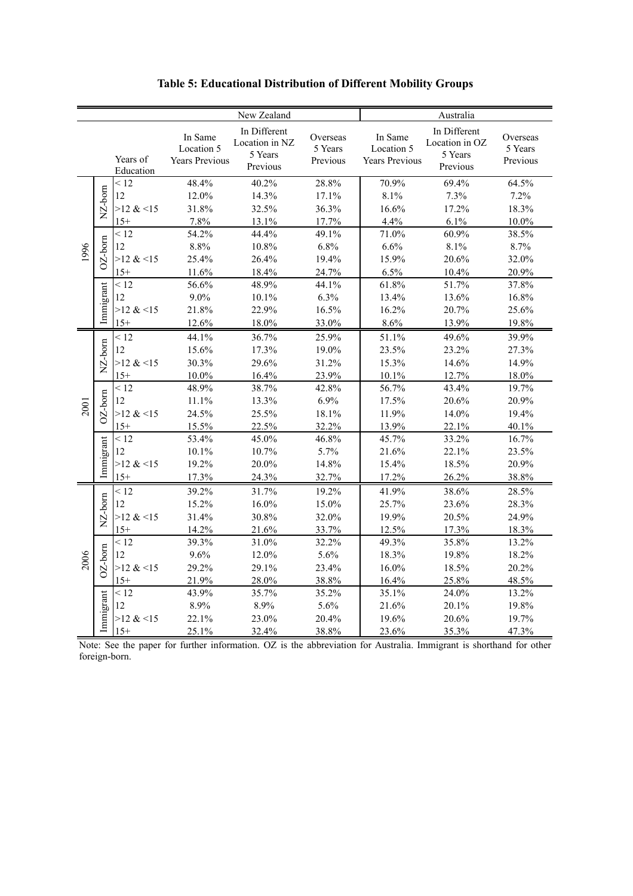|      |            |                       |                                                |                                                                      | Australia                       |                                                |                                                       |                                 |  |
|------|------------|-----------------------|------------------------------------------------|----------------------------------------------------------------------|---------------------------------|------------------------------------------------|-------------------------------------------------------|---------------------------------|--|
|      |            | Years of<br>Education | In Same<br>Location 5<br><b>Years Previous</b> | New Zealand<br>In Different<br>Location in NZ<br>5 Years<br>Previous | Overseas<br>5 Years<br>Previous | In Same<br>Location 5<br><b>Years Previous</b> | In Different<br>Location in OZ<br>5 Years<br>Previous | Overseas<br>5 Years<br>Previous |  |
|      | NZ-born    | < 12<br>12            | 48.4%<br>12.0%                                 | 40.2%<br>14.3%                                                       | 28.8%<br>17.1%                  | 70.9%<br>8.1%                                  | 69.4%<br>7.3%                                         | 64.5%<br>7.2%                   |  |
|      |            | $>12 \< 15$           | 31.8%                                          | 32.5%                                                                | 36.3%                           | 16.6%                                          | 17.2%                                                 | 18.3%                           |  |
|      |            | $15+$                 | 7.8%                                           | 13.1%                                                                | 17.7%                           | 4.4%                                           | 6.1%                                                  | $10.0\%$                        |  |
|      |            | < 12                  | 54.2%                                          | 44.4%                                                                | 49.1%                           | 71.0%                                          | 60.9%                                                 | 38.5%                           |  |
|      | $OZ$ -born | 12                    | 8.8%                                           | 10.8%                                                                | 6.8%                            | 6.6%                                           | 8.1%                                                  | 8.7%                            |  |
| 1996 |            | $>12$ & <15           | 25.4%                                          | 26.4%                                                                | 19.4%                           | 15.9%                                          | 20.6%                                                 | 32.0%                           |  |
|      |            | $15+$                 | 11.6%                                          | 18.4%                                                                | 24.7%                           | 6.5%                                           | 10.4%                                                 | 20.9%                           |  |
|      |            | < 12                  | 56.6%                                          | 48.9%                                                                | 44.1%                           | 61.8%                                          | 51.7%                                                 | 37.8%                           |  |
|      | Immigrant  | 12                    | $9.0\%$                                        | 10.1%                                                                | 6.3%                            | 13.4%                                          | 13.6%                                                 | 16.8%                           |  |
|      |            | $>12$ & <15           | 21.8%                                          | 22.9%                                                                | 16.5%                           | 16.2%                                          | 20.7%                                                 | 25.6%                           |  |
|      |            | $15+$                 | 12.6%                                          | 18.0%                                                                | 33.0%                           | 8.6%                                           | 13.9%                                                 | 19.8%                           |  |
|      |            | < 12                  | 44.1%                                          | 36.7%                                                                | 25.9%                           | 51.1%                                          | 49.6%                                                 | 39.9%                           |  |
|      | NZ-born    | 12                    | 15.6%                                          | 17.3%                                                                | 19.0%                           | 23.5%                                          | 23.2%                                                 | 27.3%                           |  |
|      |            | $>12$ & <15           | 30.3%                                          | 29.6%                                                                | 31.2%                           | 15.3%                                          | 14.6%                                                 | 14.9%                           |  |
|      |            | $15+$                 | 10.0%                                          | 16.4%                                                                | 23.9%                           | 10.1%                                          | 12.7%                                                 | 18.0%                           |  |
|      |            | < 12                  | 48.9%                                          | 38.7%                                                                | 42.8%                           | 56.7%                                          | 43.4%                                                 | 19.7%                           |  |
|      | $OZ$ -born | 12                    | 11.1%                                          | 13.3%                                                                | 6.9%                            | 17.5%                                          | 20.6%                                                 | 20.9%                           |  |
| 2001 |            | $>12$ & <15           | 24.5%                                          | 25.5%                                                                | 18.1%                           | 11.9%                                          | 14.0%                                                 | 19.4%                           |  |
|      |            | $15+$                 | 15.5%                                          | 22.5%                                                                | 32.2%                           | 13.9%                                          | 22.1%                                                 | 40.1%                           |  |
|      |            | < 12                  | 53.4%                                          | 45.0%                                                                | 46.8%                           | 45.7%                                          | 33.2%                                                 | 16.7%                           |  |
|      |            | 12                    | 10.1%                                          | 10.7%                                                                | 5.7%                            | 21.6%                                          | 22.1%                                                 | 23.5%                           |  |
|      | Immigrant  | $>12$ & <15           | 19.2%                                          | 20.0%                                                                | 14.8%                           | 15.4%                                          | 18.5%                                                 | 20.9%                           |  |
|      |            | $15+$                 | 17.3%                                          | 24.3%                                                                | 32.7%                           | 17.2%                                          | 26.2%                                                 | 38.8%                           |  |
|      |            | < 12                  | 39.2%                                          | 31.7%                                                                | 19.2%                           | 41.9%                                          | 38.6%                                                 | 28.5%                           |  |
|      | NZ-born    | 12                    | 15.2%                                          | 16.0%                                                                | 15.0%                           | 25.7%                                          | 23.6%                                                 | 28.3%                           |  |
|      |            | $>12$ & <15           | 31.4%                                          | 30.8%                                                                | 32.0%                           | 19.9%                                          | 20.5%                                                 | 24.9%                           |  |
|      |            | $15+$                 | 14.2%                                          | 21.6%                                                                | 33.7%                           | 12.5%                                          | 17.3%                                                 | 18.3%                           |  |
|      |            | < 12                  | 39.3%                                          | 31.0%                                                                | 32.2%                           | 49.3%                                          | 35.8%                                                 | 13.2%                           |  |
| 2006 | $OZ$ -born | 12                    | 9.6%                                           | 12.0%                                                                | 5.6%                            | 18.3%                                          | 19.8%                                                 | 18.2%                           |  |
|      |            | $>12$ & <15           | 29.2%                                          | 29.1%                                                                | 23.4%                           | 16.0%                                          | 18.5%                                                 | 20.2%                           |  |
|      |            | $15+$                 | 21.9%                                          | 28.0%                                                                | 38.8%                           | 16.4%                                          | 25.8%                                                 | 48.5%                           |  |
|      |            | < 12                  | 43.9%                                          | 35.7%                                                                | 35.2%                           | 35.1%                                          | 24.0%                                                 | 13.2%                           |  |
|      | Immigrant  | 12                    | 8.9%                                           | 8.9%                                                                 | 5.6%                            | 21.6%                                          | 20.1%                                                 | 19.8%                           |  |
|      |            | $>12 \< 15$           | 22.1%                                          | 23.0%                                                                | 20.4%                           | 19.6%                                          | 20.6%                                                 | 19.7%                           |  |
|      |            | $15+$                 | 25.1%                                          | 32.4%                                                                | 38.8%                           | 23.6%                                          | 35.3%                                                 | 47.3%                           |  |

**Table 5: Educational Distribution of Different Mobility Groups**

Note: See the paper for further information. OZ is the abbreviation for Australia. Immigrant is shorthand for other foreign-born.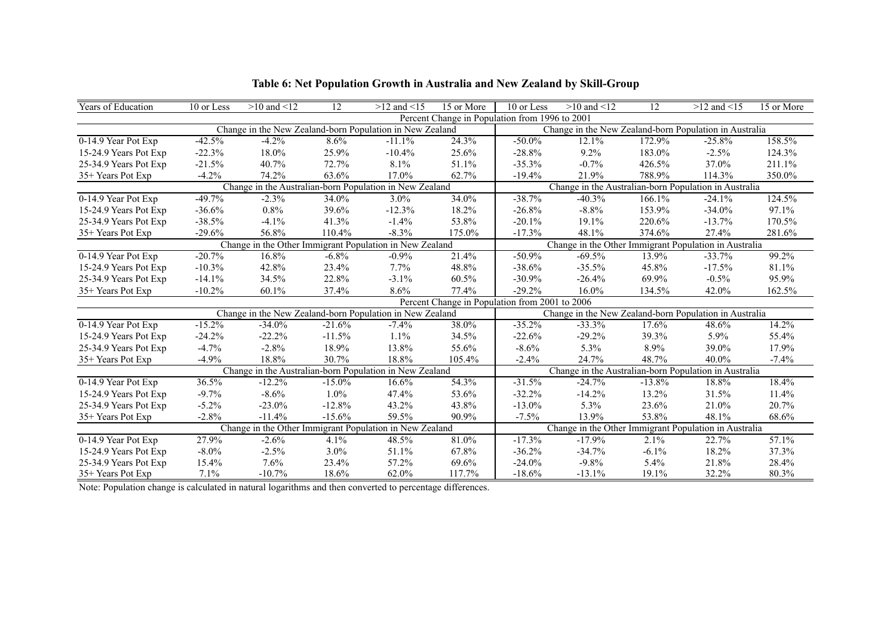| <b>Years of Education</b> | 10 or Less                                                                                                       | $>10$ and $<12$                                          | 12                                                                                                               | $>12$ and $<15$ | 15 or More | 10 or Less                                     | $>10$ and $<12$ | 12       | $>12$ and $<15$                                        | 15 or More |
|---------------------------|------------------------------------------------------------------------------------------------------------------|----------------------------------------------------------|------------------------------------------------------------------------------------------------------------------|-----------------|------------|------------------------------------------------|-----------------|----------|--------------------------------------------------------|------------|
|                           |                                                                                                                  |                                                          |                                                                                                                  |                 |            | Percent Change in Population from 1996 to 2001 |                 |          |                                                        |            |
|                           |                                                                                                                  | Change in the New Zealand-born Population in New Zealand |                                                                                                                  |                 |            |                                                |                 |          | Change in the New Zealand-born Population in Australia |            |
| 0-14.9 Year Pot Exp       | $-42.5%$                                                                                                         | $-4.2%$                                                  | 8.6%                                                                                                             | $-11.1%$        | 24.3%      | $-50.0\%$                                      | 12.1%           | 172.9%   | $-25.8%$                                               | 158.5%     |
| 15-24.9 Years Pot Exp     | $-22.3%$                                                                                                         | 18.0%                                                    | 25.9%                                                                                                            | $-10.4%$        | 25.6%      | $-28.8%$                                       | $9.2\%$         | 183.0%   | $-2.5%$                                                | 124.3%     |
| 25-34.9 Years Pot Exp     | $-21.5%$                                                                                                         | 40.7%                                                    | 72.7%                                                                                                            | 8.1%            | 51.1%      | $-35.3%$                                       | $-0.7%$         | 426.5%   | 37.0%                                                  | 211.1%     |
| 35+ Years Pot Exp         | $-4.2%$                                                                                                          | 74.2%                                                    | 63.6%                                                                                                            | 17.0%           | 62.7%      | $-19.4%$                                       | 21.9%           | 788.9%   | 114.3%                                                 | 350.0%     |
|                           |                                                                                                                  |                                                          | Change in the Australian-born Population in New Zealand<br>Change in the Australian-born Population in Australia |                 |            |                                                |                 |          |                                                        |            |
| 0-14.9 Year Pot Exp       | $-49.7%$                                                                                                         | $-2.3%$                                                  | 34.0%                                                                                                            | 3.0%            | 34.0%      | $-38.7%$                                       | $-40.3%$        | 166.1%   | $-24.1%$                                               | 124.5%     |
| 15-24.9 Years Pot Exp     | $-36.6%$                                                                                                         | 0.8%                                                     | 39.6%                                                                                                            | $-12.3%$        | 18.2%      | $-26.8%$                                       | $-8.8%$         | 153.9%   | $-34.0%$                                               | 97.1%      |
| 25-34.9 Years Pot Exp     | $-38.5%$                                                                                                         | $-4.1%$                                                  | 41.3%                                                                                                            | $-1.4%$         | 53.8%      | $-20.1%$                                       | 19.1%           | 220.6%   | $-13.7%$                                               | 170.5%     |
| 35+ Years Pot Exp         | $-29.6%$                                                                                                         | 56.8%                                                    | 110.4%                                                                                                           | $-8.3\%$        | 175.0%     | $-17.3%$                                       | 48.1%           | 374.6%   | 27.4%                                                  | 281.6%     |
|                           | Change in the Other Immigrant Population in New Zealand<br>Change in the Other Immigrant Population in Australia |                                                          |                                                                                                                  |                 |            |                                                |                 |          |                                                        |            |
| 0-14.9 Year Pot Exp       | $-20.7%$                                                                                                         | 16.8%                                                    | $-6.8%$                                                                                                          | $-0.9%$         | 21.4%      | $-50.9%$                                       | $-69.5%$        | 13.9%    | $-33.7%$                                               | 99.2%      |
| 15-24.9 Years Pot Exp     | $-10.3%$                                                                                                         | 42.8%                                                    | 23.4%                                                                                                            | 7.7%            | 48.8%      | $-38.6%$                                       | $-35.5%$        | 45.8%    | $-17.5%$                                               | 81.1%      |
| 25-34.9 Years Pot Exp     | $-14.1%$                                                                                                         | 34.5%                                                    | 22.8%                                                                                                            | $-3.1%$         | 60.5%      | $-30.9%$                                       | $-26.4%$        | 69.9%    | $-0.5%$                                                | 95.9%      |
| 35+ Years Pot Exp         | $-10.2%$                                                                                                         | 60.1%                                                    | 37.4%                                                                                                            | 8.6%            | 77.4%      | $-29.2%$                                       | $16.0\%$        | 134.5%   | 42.0%                                                  | 162.5%     |
|                           |                                                                                                                  |                                                          |                                                                                                                  |                 |            | Percent Change in Population from 2001 to 2006 |                 |          |                                                        |            |
|                           |                                                                                                                  | Change in the New Zealand-born Population in New Zealand |                                                                                                                  |                 |            |                                                |                 |          | Change in the New Zealand-born Population in Australia |            |
| 0-14.9 Year Pot Exp       | $-15.2%$                                                                                                         | $-34.0%$                                                 | $-21.6%$                                                                                                         | $-7.4\%$        | 38.0%      | $-35.2%$                                       | $-33.3%$        | 17.6%    | 48.6%                                                  | 14.2%      |
| 15-24.9 Years Pot Exp     | $-24.2%$                                                                                                         | $-22.2%$                                                 | $-11.5%$                                                                                                         | 1.1%            | 34.5%      | $-22.6%$                                       | $-29.2%$        | 39.3%    | 5.9%                                                   | 55.4%      |
| 25-34.9 Years Pot Exp     | $-4.7%$                                                                                                          | $-2.8%$                                                  | 18.9%                                                                                                            | 13.8%           | 55.6%      | $-8.6%$                                        | 5.3%            | 8.9%     | 39.0%                                                  | 17.9%      |
| 35+ Years Pot Exp         | $-4.9%$                                                                                                          | 18.8%                                                    | 30.7%                                                                                                            | 18.8%           | 105.4%     | $-2.4%$                                        | 24.7%           | 48.7%    | $40.0\%$                                               | $-7.4%$    |
|                           |                                                                                                                  | Change in the Australian-born Population in New Zealand  |                                                                                                                  |                 |            |                                                |                 |          | Change in the Australian-born Population in Australia  |            |
| 0-14.9 Year Pot Exp       | 36.5%                                                                                                            | $-12.2%$                                                 | $-15.0\%$                                                                                                        | 16.6%           | 54.3%      | $-31.5%$                                       | $-24.7%$        | $-13.8%$ | 18.8%                                                  | 18.4%      |
| 15-24.9 Years Pot Exp     | $-9.7%$                                                                                                          | $-8.6%$                                                  | $1.0\%$                                                                                                          | 47.4%           | 53.6%      | $-32.2%$                                       | $-14.2%$        | 13.2%    | 31.5%                                                  | 11.4%      |
| 25-34.9 Years Pot Exp     | $-5.2%$                                                                                                          | $-23.0%$                                                 | $-12.8%$                                                                                                         | 43.2%           | 43.8%      | $-13.0%$                                       | 5.3%            | 23.6%    | 21.0%                                                  | 20.7%      |
| 35+ Years Pot Exp         | $-2.8%$                                                                                                          | $-11.4%$                                                 | $-15.6%$                                                                                                         | 59.5%           | 90.9%      | $-7.5%$                                        | 13.9%           | 53.8%    | 48.1%                                                  | 68.6%      |
|                           |                                                                                                                  | Change in the Other Immigrant Population in New Zealand  |                                                                                                                  |                 |            |                                                |                 |          | Change in the Other Immigrant Population in Australia  |            |
| 0-14.9 Year Pot Exp       | 27.9%                                                                                                            | $-2.6%$                                                  | 4.1%                                                                                                             | 48.5%           | 81.0%      | $-17.3%$                                       | $-17.9%$        | 2.1%     | 22.7%                                                  | 57.1%      |
| 15-24.9 Years Pot Exp     | $-8.0\%$                                                                                                         | $-2.5%$                                                  | 3.0%                                                                                                             | 51.1%           | 67.8%      | $-36.2%$                                       | $-34.7%$        | $-6.1\%$ | 18.2%                                                  | 37.3%      |
| 25-34.9 Years Pot Exp     | 15.4%                                                                                                            | 7.6%                                                     | 23.4%                                                                                                            | 57.2%           | 69.6%      | $-24.0%$                                       | $-9.8%$         | 5.4%     | 21.8%                                                  | 28.4%      |
| 35+ Years Pot Exp         | 7.1%                                                                                                             | $-10.7%$                                                 | 18.6%                                                                                                            | 62.0%           | 117.7%     | $-18.6%$                                       | $-13.1%$        | 19.1%    | 32.2%                                                  | 80.3%      |

**Table 6: Net Population Growth in Australia and New Zealand by Skill-Group**

Note: Population change is calculated in natural logarithms and then converted to percentage differences.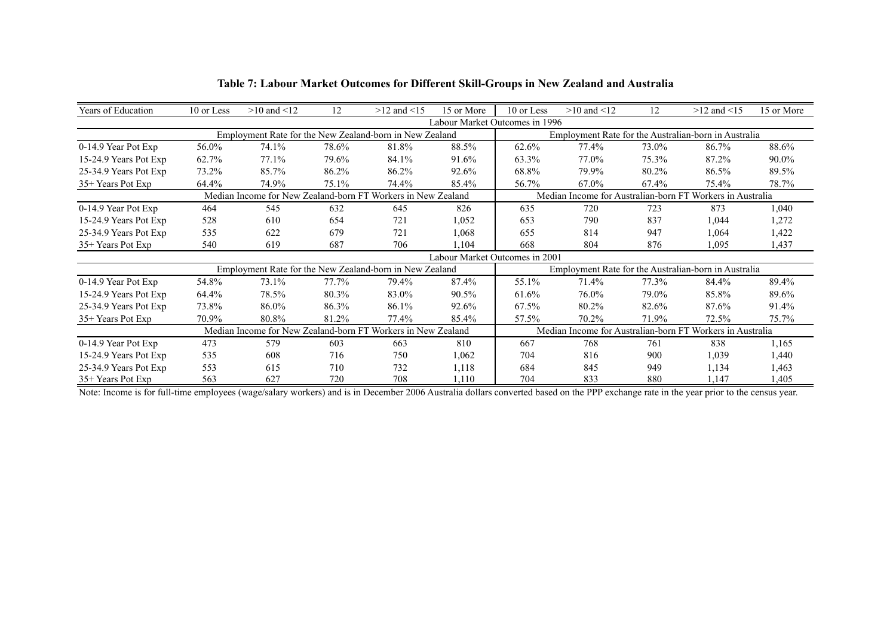| <b>Years of Education</b> | 10 or Less | $>10$ and $<12$                                              | 12    | $>12$ and $<15$ | 15 or More | 10 or Less                                           | $>10$ and $<12$                      | 12    | $>12$ and $<15$                                                                                                                                                                | 15 or More |  |  |  |
|---------------------------|------------|--------------------------------------------------------------|-------|-----------------|------------|------------------------------------------------------|--------------------------------------|-------|--------------------------------------------------------------------------------------------------------------------------------------------------------------------------------|------------|--|--|--|
|                           |            |                                                              |       |                 |            | Labour Market Outcomes in 1996                       |                                      |       | Employment Rate for the Australian-born in Australia<br>86.7%<br>87.2%<br>86.5%<br>75.4%<br>Median Income for Australian-born FT Workers in Australia<br>873<br>1,044<br>1,064 |            |  |  |  |
|                           |            | Employment Rate for the New Zealand-born in New Zealand      |       |                 |            |                                                      |                                      |       |                                                                                                                                                                                |            |  |  |  |
| 0-14.9 Year Pot Exp       | 56.0%      | 74.1%                                                        | 78.6% | 81.8%           | 88.5%      | 62.6%                                                | 77.4%                                | 73.0% |                                                                                                                                                                                | 88.6%      |  |  |  |
| 15-24.9 Years Pot Exp     | 62.7%      | 77.1%                                                        | 79.6% | 84.1%           | 91.6%      | 63.3%                                                | 77.0%                                | 75.3% |                                                                                                                                                                                | 90.0%      |  |  |  |
| 25-34.9 Years Pot Exp     | 73.2%      | 85.7%                                                        | 86.2% | 86.2%           | 92.6%      | 68.8%                                                | 79.9%                                | 80.2% |                                                                                                                                                                                | 89.5%      |  |  |  |
| 35+ Years Pot Exp         | 64.4%      | 74.9%                                                        | 75.1% | 74.4%           | 85.4%      | 56.7%                                                | 67.0%                                | 67.4% |                                                                                                                                                                                | 78.7%      |  |  |  |
|                           |            | Median Income for New Zealand-born FT Workers in New Zealand |       |                 |            |                                                      |                                      |       |                                                                                                                                                                                |            |  |  |  |
| 0-14.9 Year Pot Exp       | 464        | 545                                                          | 632   | 645             | 826        | 635                                                  | 720                                  | 723   |                                                                                                                                                                                | 1,040      |  |  |  |
| 15-24.9 Years Pot Exp     | 528        | 610                                                          | 654   | 721             | 1,052      | 653                                                  | 790                                  | 837   |                                                                                                                                                                                | 1,272      |  |  |  |
| 25-34.9 Years Pot Exp     | 535        | 622                                                          | 679   | 721             | 1,068      | 655                                                  | 814                                  | 947   |                                                                                                                                                                                | 1,422      |  |  |  |
| 35+ Years Pot Exp         | 540        | 619                                                          | 687   | 706             | 1,104      | 668                                                  | 804                                  | 876   | 1,095                                                                                                                                                                          | 1,437      |  |  |  |
|                           |            |                                                              |       |                 |            | Labour Market Outcomes in 2001                       |                                      |       |                                                                                                                                                                                |            |  |  |  |
|                           |            | Employment Rate for the New Zealand-born in New Zealand      |       |                 |            | Employment Rate for the Australian-born in Australia |                                      |       |                                                                                                                                                                                |            |  |  |  |
| 0-14.9 Year Pot Exp       | 54.8%      | 73.1%                                                        | 77.7% | 79.4%           | 87.4%      | 55.1%                                                | 71.4%                                | 77.3% | 84.4%                                                                                                                                                                          | 89.4%      |  |  |  |
| 15-24.9 Years Pot Exp     | 64.4%      | 78.5%                                                        | 80.3% | 83.0%           | 90.5%      | 61.6%                                                | 76.0%                                | 79.0% | 85.8%                                                                                                                                                                          | 89.6%      |  |  |  |
| 25-34.9 Years Pot Exp     | 73.8%      | 86.0%                                                        | 86.3% | 86.1%           | 92.6%      | 67.5%                                                | 80.2%                                | 82.6% | 87.6%                                                                                                                                                                          | 91.4%      |  |  |  |
| 35+ Years Pot Exp         | 70.9%      | 80.8%                                                        | 81.2% | 77.4%           | 85.4%      | 57.5%                                                | 70.2%                                | 71.9% | 72.5%                                                                                                                                                                          | 75.7%      |  |  |  |
|                           |            | Median Income for New Zealand-born FT Workers in New Zealand |       |                 |            |                                                      | Median Income for Australian-born FT |       | Workers in Australia<br>838<br>1,165<br>1,440<br>1,039<br>1,463<br>1,134<br>1,405<br>1,147                                                                                     |            |  |  |  |
| 0-14.9 Year Pot Exp       | 473        | 579                                                          | 603   | 663             | 810        | 667                                                  | 768                                  | 761   |                                                                                                                                                                                |            |  |  |  |
| 15-24.9 Years Pot Exp     | 535        | 608                                                          | 716   | 750             | 1,062      | 704                                                  | 816                                  | 900   |                                                                                                                                                                                |            |  |  |  |
| 25-34.9 Years Pot Exp     | 553        | 615                                                          | 710   | 732             | 1,118      | 684                                                  | 845                                  | 949   |                                                                                                                                                                                |            |  |  |  |
| 35+ Years Pot Exp         | 563        | 627                                                          | 720   | 708             | 1,110      | 704                                                  | 833                                  | 880   |                                                                                                                                                                                |            |  |  |  |

#### **Table 7: Labour Market Outcomes for Different Skill-Groups in New Zealand and Australia**

Note: Income is for full-time employees (wage/salary workers) and is in December 2006 Australia dollars converted based on the PPP exchange rate in the year prior to the census year.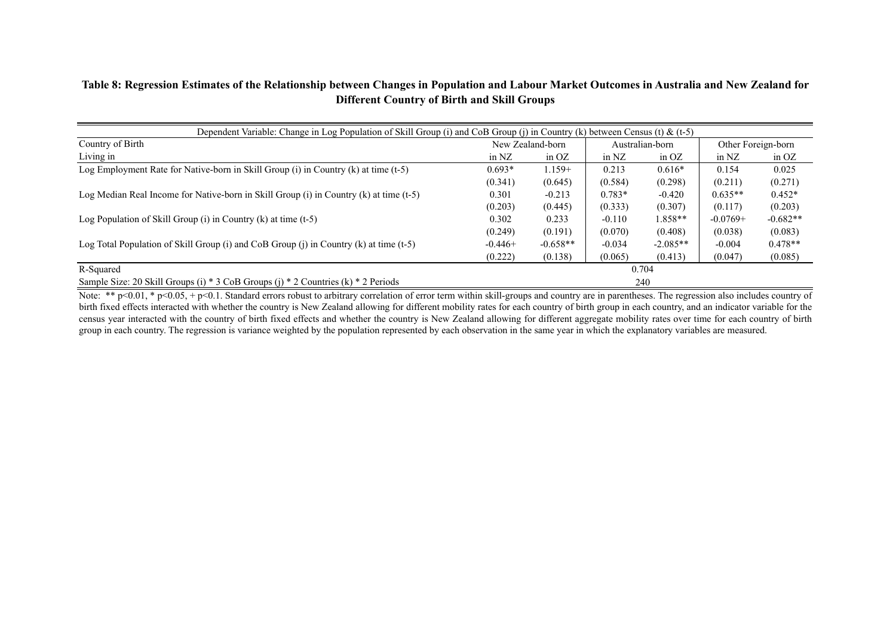#### **Table 8: Regression Estimates of the Relationship between Changes in Population and Labour Market Outcomes in Australia and New Zealand for Different Country of Birth and Skill Groups**

| Dependent Variable: Change in Log Population of Skill Group (i) and CoB Group (j) in Country (k) between Census (t) & (t-5)                                                                   |           |                  |                 |            |                    |            |  |  |  |  |  |
|-----------------------------------------------------------------------------------------------------------------------------------------------------------------------------------------------|-----------|------------------|-----------------|------------|--------------------|------------|--|--|--|--|--|
| Country of Birth                                                                                                                                                                              |           | New Zealand-born | Australian-born |            | Other Foreign-born |            |  |  |  |  |  |
| Living in                                                                                                                                                                                     | in $NZ$   | in $OZ$          | in $NZ$         | in $OZ$    | in $NZ$            | in $OZ$    |  |  |  |  |  |
| Log Employment Rate for Native-born in Skill Group (i) in Country (k) at time $(t-5)$                                                                                                         | $0.693*$  | $1.159+$         | 0.213           | $0.616*$   | 0.154              | 0.025      |  |  |  |  |  |
|                                                                                                                                                                                               | (0.341)   | (0.645)          | (0.584)         | (0.298)    | (0.211)            | (0.271)    |  |  |  |  |  |
| Log Median Real Income for Native-born in Skill Group (i) in Country (k) at time (t-5)                                                                                                        | 0.301     | $-0.213$         | $0.783*$        | $-0.420$   | $0.635**$          | $0.452*$   |  |  |  |  |  |
|                                                                                                                                                                                               | (0.203)   | (0.445)          | (0.333)         | (0.307)    | (0.117)            | (0.203)    |  |  |  |  |  |
| Log Population of Skill Group (i) in Country (k) at time $(t-5)$                                                                                                                              | 0.302     | 0.233            | $-0.110$        | $1.858**$  | $-0.0769+$         | $-0.682**$ |  |  |  |  |  |
|                                                                                                                                                                                               | (0.249)   | (0.191)          | (0.070)         | (0.408)    | (0.038)            | (0.083)    |  |  |  |  |  |
| Log Total Population of Skill Group (i) and CoB Group (j) in Country (k) at time (t-5)                                                                                                        | $-0.446+$ | $-0.658**$       | $-0.034$        | $-2.085**$ | $-0.004$           | $0.478**$  |  |  |  |  |  |
|                                                                                                                                                                                               | (0.222)   | (0.138)          | (0.065)         | (0.413)    | (0.047)            | (0.085)    |  |  |  |  |  |
| R-Squared                                                                                                                                                                                     |           |                  |                 | 0.704      |                    |            |  |  |  |  |  |
| Sample Size: 20 Skill Groups (i) * 3 CoB Groups (j) * 2 Countries (k) * 2 Periods                                                                                                             |           |                  |                 | 240        |                    |            |  |  |  |  |  |
| Note: ** p<0.01. * p<0.05. + p<0.1. Standard errors robust to arbitrary correlation of error term within skill-groups and country are in parentheses. The regression also includes country of |           |                  |                 |            |                    |            |  |  |  |  |  |

Note: \*\*  $p<0.01$ , \*  $p<0.05$ , +  $p<0.1$ . Standard errors robust to arbitrary correlation of error term within skill-groups and country are in parentheses. The regression also includes country of birth fixed effects interacted with whether the country is New Zealand allowing for different mobility rates for each country of birth group in each country, and an indicator variable for the census year interacted with the country of birth fixed effects and whether the country is New Zealand allowing for different aggregate mobility rates over time for each country of birth group in each country. The regression is variance weighted by the population represented by each observation in the same year in which the explanatory variables are measured.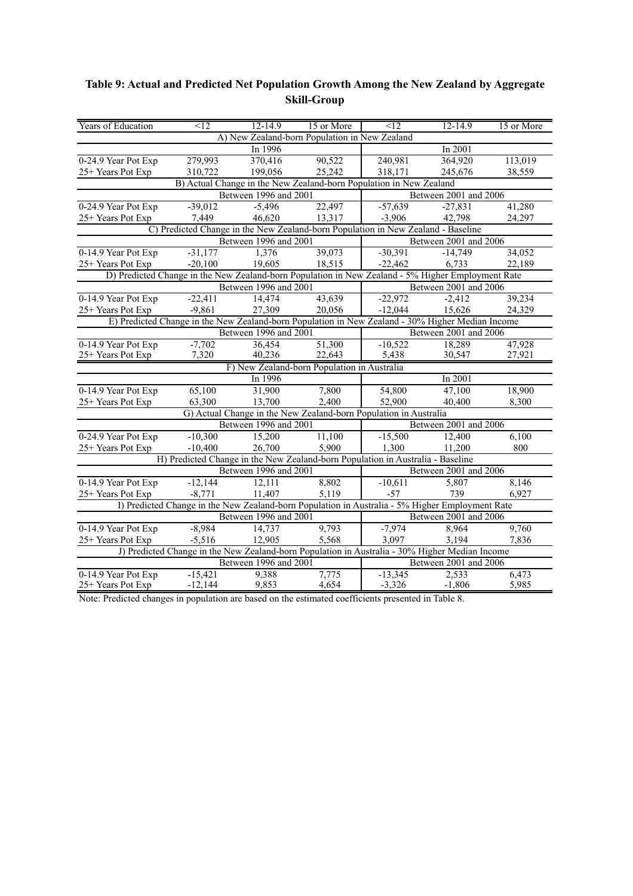| Years of Education                                                                                | $\leq$ 12 | $12 - 14.9$           | 15 or More                                                                                      | $\leq$ 12                                                                                        | 12-14.9                                 | 15 or More                                                                 |  |  |  |
|---------------------------------------------------------------------------------------------------|-----------|-----------------------|-------------------------------------------------------------------------------------------------|--------------------------------------------------------------------------------------------------|-----------------------------------------|----------------------------------------------------------------------------|--|--|--|
|                                                                                                   |           |                       | A) New Zealand-born Population in New Zealand                                                   |                                                                                                  |                                         |                                                                            |  |  |  |
|                                                                                                   |           | In 1996               |                                                                                                 |                                                                                                  | In 2001                                 |                                                                            |  |  |  |
| 0-24.9 Year Pot Exp                                                                               | 279,993   | 370,416               | 90,522                                                                                          | 240,981                                                                                          | 364,920                                 | 113,019                                                                    |  |  |  |
| 25+ Years Pot Exp                                                                                 | 310,722   | 199,056               | 25,242                                                                                          | 318,171                                                                                          | 245,676                                 | 38,559                                                                     |  |  |  |
|                                                                                                   |           |                       | B) Actual Change in the New Zealand-born Population in New Zealand                              |                                                                                                  |                                         |                                                                            |  |  |  |
|                                                                                                   |           | Between 1996 and 2001 |                                                                                                 |                                                                                                  | Between 2001 and 2006                   |                                                                            |  |  |  |
| 0-24.9 Year Pot Exp                                                                               | $-39,012$ | $-5,496$              | 22,497                                                                                          | $-57,639$                                                                                        | $-27,831$                               | 41,280                                                                     |  |  |  |
| 25+ Years Pot Exp                                                                                 | 7,449     | 46,620                | 13,317                                                                                          | $-3,906$                                                                                         | 42,798                                  | 24,297                                                                     |  |  |  |
| C) Predicted Change in the New Zealand-born Population in New Zealand - Baseline                  |           |                       |                                                                                                 |                                                                                                  |                                         |                                                                            |  |  |  |
|                                                                                                   |           | Between 1996 and 2001 |                                                                                                 |                                                                                                  | Between 2001 and 2006                   |                                                                            |  |  |  |
| 0-14.9 Year Pot Exp                                                                               | $-31,177$ | 1,376                 | 39,073                                                                                          | $-30,391$                                                                                        | $-14,749$                               | 34,052                                                                     |  |  |  |
| 25+ Years Pot Exp                                                                                 | $-20,100$ | 19,605                | 18,515                                                                                          | $-22,462$                                                                                        | 6,733                                   | 22,189                                                                     |  |  |  |
| D) Predicted Change in the New Zealand-born Population in New Zealand - 5% Higher Employment Rate |           |                       |                                                                                                 |                                                                                                  |                                         |                                                                            |  |  |  |
|                                                                                                   |           | Between 1996 and 2001 |                                                                                                 |                                                                                                  | Between 2001 and 2006                   |                                                                            |  |  |  |
| 0-14.9 Year Pot Exp                                                                               | $-22,411$ | 14,474                | 43,639                                                                                          | $-22,972$                                                                                        | $-2,412$                                | 39,234                                                                     |  |  |  |
| 25+ Years Pot Exp                                                                                 | $-9,861$  | 27,309                | 20,056                                                                                          | $-12,044$                                                                                        | 15,626                                  | 24,329                                                                     |  |  |  |
|                                                                                                   |           |                       |                                                                                                 | E) Predicted Change in the New Zealand-born Population in New Zealand - 30% Higher Median Income |                                         |                                                                            |  |  |  |
|                                                                                                   |           | Between 1996 and 2001 |                                                                                                 |                                                                                                  | Between 2001 and 2006                   |                                                                            |  |  |  |
| 0-14.9 Year Pot Exp                                                                               | $-7,702$  | 36,454                | 51,300                                                                                          | $-10,522$                                                                                        | 18,289                                  | 47,928                                                                     |  |  |  |
| 25+ Years Pot Exp                                                                                 | 7,320     | 40,236                | 22,643                                                                                          | 5,438                                                                                            | 30,547                                  | 27,921                                                                     |  |  |  |
|                                                                                                   |           |                       | F) New Zealand-born Population in Australia                                                     |                                                                                                  |                                         |                                                                            |  |  |  |
|                                                                                                   |           | In 1996               |                                                                                                 |                                                                                                  | In $2001$<br>47,100<br>54,800<br>18,900 |                                                                            |  |  |  |
| 0-14.9 Year Pot Exp                                                                               | 65,100    | 31,900                | 7,800                                                                                           |                                                                                                  |                                         |                                                                            |  |  |  |
| 25+ Years Pot Exp                                                                                 | 63,300    | 13,700                | 2,400                                                                                           | 52,900                                                                                           | 40,400                                  | 8,300                                                                      |  |  |  |
|                                                                                                   |           |                       | G) Actual Change in the New Zealand-born Population in Australia                                |                                                                                                  |                                         |                                                                            |  |  |  |
|                                                                                                   |           | Between 1996 and 2001 |                                                                                                 |                                                                                                  |                                         |                                                                            |  |  |  |
| 0-24.9 Year Pot Exp                                                                               | $-10,300$ | 15,200                | 11,100                                                                                          | $-15,500$                                                                                        |                                         |                                                                            |  |  |  |
| 25+ Years Pot Exp                                                                                 | $-10,400$ | 26,700                | 5,900                                                                                           | 1,300                                                                                            | 11,200                                  | 800                                                                        |  |  |  |
|                                                                                                   |           |                       | H) Predicted Change in the New Zealand-born Population in Australia - Baseline                  |                                                                                                  |                                         |                                                                            |  |  |  |
|                                                                                                   |           | Between 1996 and 2001 |                                                                                                 |                                                                                                  |                                         | Between 2001 and 2006<br>12,400<br>6,100<br>Between 2001 and 2006<br>8,146 |  |  |  |
| 0-14.9 Year Pot Exp                                                                               | $-12,144$ | 12,111                | 8,802                                                                                           | $-10,611$                                                                                        | 5,807                                   |                                                                            |  |  |  |
| 25+ Years Pot Exp                                                                                 | $-8,771$  | 11,407                | 5,119                                                                                           | $-57$                                                                                            | 739                                     | 6,927                                                                      |  |  |  |
|                                                                                                   |           |                       | I) Predicted Change in the New Zealand-born Population in Australia - 5% Higher Employment Rate |                                                                                                  |                                         |                                                                            |  |  |  |
|                                                                                                   |           | Between 1996 and 2001 |                                                                                                 |                                                                                                  | Between 2001 and 2006                   |                                                                            |  |  |  |
| 0-14.9 Year Pot Exp                                                                               | $-8,984$  | 14,737                | 9,793                                                                                           | $-7,974$                                                                                         | 8,964                                   | 9,760                                                                      |  |  |  |
| 25+ Years Pot Exp                                                                                 | $-5,516$  | 12,905                | 5,568                                                                                           | 3,097                                                                                            | 3,194                                   | 7,836                                                                      |  |  |  |
|                                                                                                   |           |                       | J) Predicted Change in the New Zealand-born Population in Australia - 30% Higher Median Income  |                                                                                                  |                                         |                                                                            |  |  |  |
|                                                                                                   |           | Between 1996 and 2001 |                                                                                                 |                                                                                                  | Between 2001 and 2006                   |                                                                            |  |  |  |
| 0-14.9 Year Pot Exp                                                                               | $-15,421$ | 9,388                 | 7,775                                                                                           | $-13,345$                                                                                        | 2,533                                   | 6,473                                                                      |  |  |  |
| 25+ Years Pot Exp                                                                                 | $-12,144$ | 9,853                 | 4,654                                                                                           | $-3,326$                                                                                         | $-1,806$                                | 5,985                                                                      |  |  |  |

### **Table 9: Actual and Predicted Net Population Growth Among the New Zealand by Aggregate Skill-Group**

Note: Predicted changes in population are based on the estimated coefficients presented in Table 8.